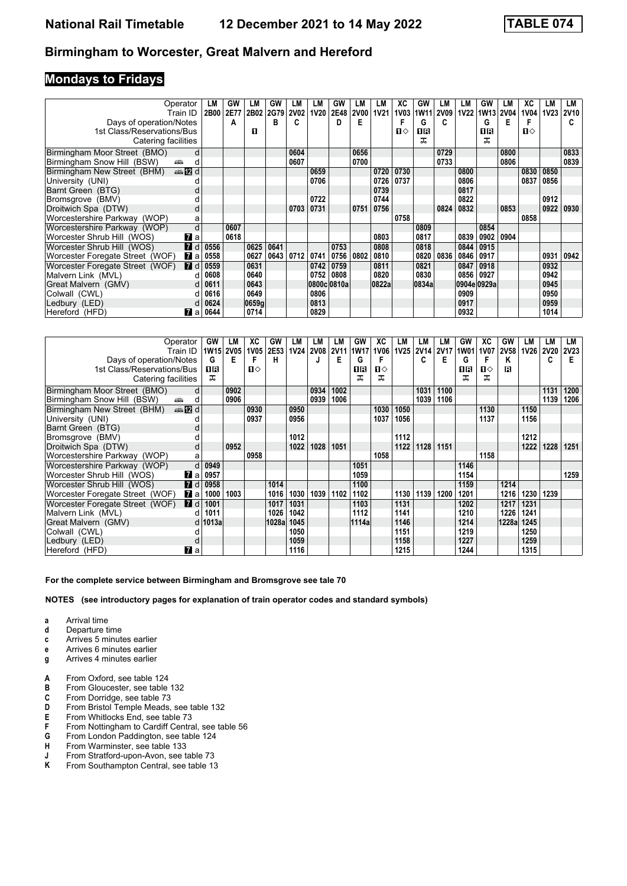### **Mondays to Fridays**

| Operator<br>Train ID                       | LM<br>2B00 | GW<br>2E77 | LМ<br>2B02 | GW<br>2G79 | LМ<br><b>2V02</b> | LМ<br><b>1V20</b> | <b>GW</b><br>2E48 | LМ<br><b>2V00</b> | LM<br><b>1V21</b> | ХC<br><b>1V03</b> | GW<br><b>1W11</b> | LМ<br>2V09 | LM<br><b>1V22</b> | GW<br>1W13  | LM<br><b>2V04</b> | ХC<br>1V04   | LМ<br><b>1V23</b> | LM<br><b>2V10</b> |
|--------------------------------------------|------------|------------|------------|------------|-------------------|-------------------|-------------------|-------------------|-------------------|-------------------|-------------------|------------|-------------------|-------------|-------------------|--------------|-------------------|-------------------|
| Days of operation/Notes                    |            | A          |            | в          | c                 |                   | D                 | Е                 |                   |                   | G                 |            |                   | G           | Е                 |              |                   | C.                |
| 1st Class/Reservations/Bus                 |            |            | п          |            |                   |                   |                   |                   |                   | П⇔                | 18                |            |                   | 1R          |                   | $\mathbf{u}$ |                   |                   |
| Catering facilities                        |            |            |            |            |                   |                   |                   |                   |                   |                   | ᅚ                 |            |                   | ㅈ           |                   |              |                   |                   |
| Birmingham Moor Street (BMO)<br>d          |            |            |            |            | 0604              |                   |                   | 0656              |                   |                   |                   | 0729       |                   |             | 0800              |              |                   | 0833              |
| Birmingham Snow Hill (BSW)<br>a film<br>d  |            |            |            |            | 0607              |                   |                   | 0700              |                   |                   |                   | 0733       |                   |             | 0806              |              |                   | 0839              |
| <b>●IZd</b><br>Birmingham New Street (BHM) |            |            |            |            |                   | 0659              |                   |                   | 0720              | 0730              |                   |            | 0800              |             |                   | 0830         | 0850              |                   |
| University (UNI)                           |            |            |            |            |                   | 0706              |                   |                   | 0726              | 0737              |                   |            | 0806              |             |                   | 0837         | 0856              |                   |
| Barnt Green (BTG)                          |            |            |            |            |                   |                   |                   |                   | 0739              |                   |                   |            | 0817              |             |                   |              |                   |                   |
| Bromsgrove (BMV)                           |            |            |            |            |                   | 0722              |                   |                   | 0744              |                   |                   |            | 0822              |             |                   |              | 0912              |                   |
| Droitwich Spa (DTW)<br>d                   |            |            |            |            | 0703   0731       |                   |                   | 0751              | 0756              |                   |                   | 0824       | 0832              |             | 0853              |              | 0922              | 0930              |
| Worcestershire Parkway (WOP)<br>a          |            |            |            |            |                   |                   |                   |                   |                   | 0758              |                   |            |                   |             |                   | 0858         |                   |                   |
| Worcestershire Parkway (WOP)<br>d          |            | 0607       |            |            |                   |                   |                   |                   |                   |                   | 0809              |            |                   | 0854        |                   |              |                   |                   |
| Worcester Shrub Hill (WOS)<br><b>7</b> a   |            | 0618       |            |            |                   |                   |                   |                   | 0803              |                   | 0817              |            | 0839              | 0902        | 0904              |              |                   |                   |
| Worcester Shrub Hill (WOS)<br><b>7</b> d   | 0556       |            | 0625       | 0641       |                   |                   | 0753              |                   | 0808              |                   | 0818              |            | 0844              | 0915        |                   |              |                   |                   |
| Worcester Foregate Street (WOF)<br>7 а     | 0558       |            | 0627       | 0643       | 0712              | 0741              | 0756              | 0802              | 0810              |                   | 0820              | 0836       | 0846              | 0917        |                   |              | 0931              | 0942              |
| Worcester Foregate Street (WOF)<br>7 d     | 0559       |            | 0631       |            |                   | 0742              | 0759              |                   | 0811              |                   | 0821              |            | 0847              | 0918        |                   |              | 0932              |                   |
| Malvern Link (MVL)<br>d                    | 0608       |            | 0640       |            |                   | 0752              | 0808              |                   | 0820              |                   | 0830              |            | 0856              | 0927        |                   |              | 0942              |                   |
| Great Malvern (GMV)<br>d.                  | 0611       |            | 0643       |            |                   |                   | 0800c 0810a       |                   | 0822a             |                   | 0834a             |            |                   | 0904e 0929a |                   |              | 0945              |                   |
| Colwall (CWL)<br>d                         | 0616       |            | 0649       |            |                   | 0806              |                   |                   |                   |                   |                   |            | 0909              |             |                   |              | 0950              |                   |
| Ledbury (LED)<br>d                         | 0624       |            | 0659g      |            |                   | 0813              |                   |                   |                   |                   |                   |            | 0917              |             |                   |              | 0959              |                   |
| Hereford (HFD)<br><b>7</b> a               | 0644       |            | 0714       |            |                   | 0829              |                   |                   |                   |                   |                   |            | 0932              |             |                   |              | 1014              |                   |

| Operator                                          | GW        | LМ   | ХC           | GW    | LM          | LM.         | LM          | GW    | XC           | LМ          | LM          | LM   | GW   | XC          | GW    | LМ   | LМ          | LM          |
|---------------------------------------------------|-----------|------|--------------|-------|-------------|-------------|-------------|-------|--------------|-------------|-------------|------|------|-------------|-------|------|-------------|-------------|
| Train ID                                          | 1W15 2V05 |      | 1V05         | 2E53  | <b>1V24</b> | <b>2V08</b> | <b>2V11</b> | 1W17  | <b>1V06</b>  | <b>1V25</b> | <b>2V14</b> | 2V17 | 1W01 | <b>1V07</b> | 2V58  | 1V26 | <b>2V20</b> | <b>2V23</b> |
| Days of operation/Notes                           | G         | Е    | F            | н     |             |             | Е           | G     |              |             | c           | Е    | G    | F           | Κ     |      | c           | Е           |
| 1st Class/Reservations/Bus                        | 1 R       |      | $\mathbf{u}$ |       |             |             |             | 1R    | $\mathbf{u}$ |             |             |      | 1R   | ்ப          | R     |      |             |             |
| Catering facilities                               | ㅈ         |      |              |       |             |             |             | ᅚ     | ᅚ            |             |             |      | ᅚ    | ᠼ           |       |      |             |             |
| Birmingham Moor Street (BMO)<br>d                 |           | 0902 |              |       |             | 0934        | 1002        |       |              |             | 1031        | 1100 |      |             |       |      | 1131        | 1200        |
| Birmingham Snow Hill (BSW)<br>ه که<br>d           |           | 0906 |              |       |             | 0939        | 1006        |       |              |             | 1039        | 1106 |      |             |       |      | 1139        | 1206        |
| <b>en 12</b> d<br>Birmingham New Street (BHM)     |           |      | 0930         |       | 0950        |             |             |       | 1030         | 1050        |             |      |      | 1130        |       | 1150 |             |             |
| University (UNI)                                  |           |      | 0937         |       | 0956        |             |             |       | 1037         | 1056        |             |      |      | 1137        |       | 1156 |             |             |
| Barnt Green (BTG)                                 |           |      |              |       |             |             |             |       |              |             |             |      |      |             |       |      |             |             |
| Bromsgrove (BMV)                                  |           |      |              |       | 1012        |             |             |       |              | 1112        |             |      |      |             |       | 1212 |             |             |
| Droitwich Spa (DTW)                               |           | 0952 |              |       | 1022        | 1028        | 1051        |       |              | 1122        | 1128        | 1151 |      |             |       | 1222 | 1228        | 1251        |
| Worcestershire Parkway (WOP)<br>a                 |           |      | 0958         |       |             |             |             |       | 1058         |             |             |      |      | 1158        |       |      |             |             |
| Worcestershire Parkway (WOP)<br>d                 | 0949      |      |              |       |             |             |             | 1051  |              |             |             |      | 1146 |             |       |      |             |             |
| Worcester Shrub Hill (WOS)<br>7 a                 | 0957      |      |              |       |             |             |             | 1059  |              |             |             |      | 1154 |             |       |      |             | 1259        |
| $\blacksquare$ d<br>Worcester Shrub Hill (WOS)    | 0958      |      |              | 1014  |             |             |             | 1100  |              |             |             |      | 1159 |             | 1214  |      |             |             |
| Worcester Foregate Street (WOF)<br>$\mathbf{z}$ a | 1000      | 1003 |              | 1016  | 1030        | 1039        | 1102        | 1102  |              | 1130        | 1139        | 1200 | 1201 |             | 1216  | 1230 | 1239        |             |
| Worcester Foregate Street (WOF)<br><b>7</b> d     | 1001      |      |              | 1017  | 1031        |             |             | 1103  |              | 1131        |             |      | 1202 |             | 1217  | 1231 |             |             |
| Malvern Link (MVL)                                | 1011      |      |              | 1026  | 1042        |             |             | 1112  |              | 1141        |             |      | 1210 |             | 1226  | 1241 |             |             |
| Great Malvern (GMV)<br>d.                         | 1013a     |      |              | 1028a | 1045        |             |             | 1114a |              | 1146        |             |      | 1214 |             | 1228a | 1245 |             |             |
| Colwall (CWL)                                     |           |      |              |       | 1050        |             |             |       |              | 1151        |             |      | 1219 |             |       | 1250 |             |             |
| Ledbury (LED)                                     |           |      |              |       | 1059        |             |             |       |              | 1158        |             |      | 1227 |             |       | 1259 |             |             |
| <b>7</b> a<br>Hereford (HFD)                      |           |      |              |       | 1116        |             |             |       |              | 1215        |             |      | 1244 |             |       | 1315 |             |             |

#### For the complete service between Birmingham and Bromsgrove see tale 70

- **a** Arrival time<br>**d** Departure t
- **d** Departure time
- **c** Arrives 5 minutes earlier
- **e** Arrives 6 minutes earlier
- **g** Arrives 4 minutes earlier
- **A** From Oxford, see table 124<br>**B** From Gloucester, see table
- **B** From Gloucester, see table 132<br>**C** From Dorridge, see table 73
- **C** From Dorridge, see table 73<br>**D** From Bristol Temple Meads,
- From Bristol Temple Meads, see table 132
- **E** From Whitlocks End, see table 73<br>**F** From Nottingham to Cardiff Centra
- **F** From Nottingham to Cardiff Central, see table 56<br>**G** From London Paddington, see table 124
- **6** From London Paddington, see table 124<br>**H** From Warminster, see table 133
- **+** From Warminster, see table 133<br>**J** From Stratford-upon-Avon, see t
- **-** From Stratford-upon-Avon, see table 73<br>**K** From Southampton Central, see table 13
- From Southampton Central, see table 13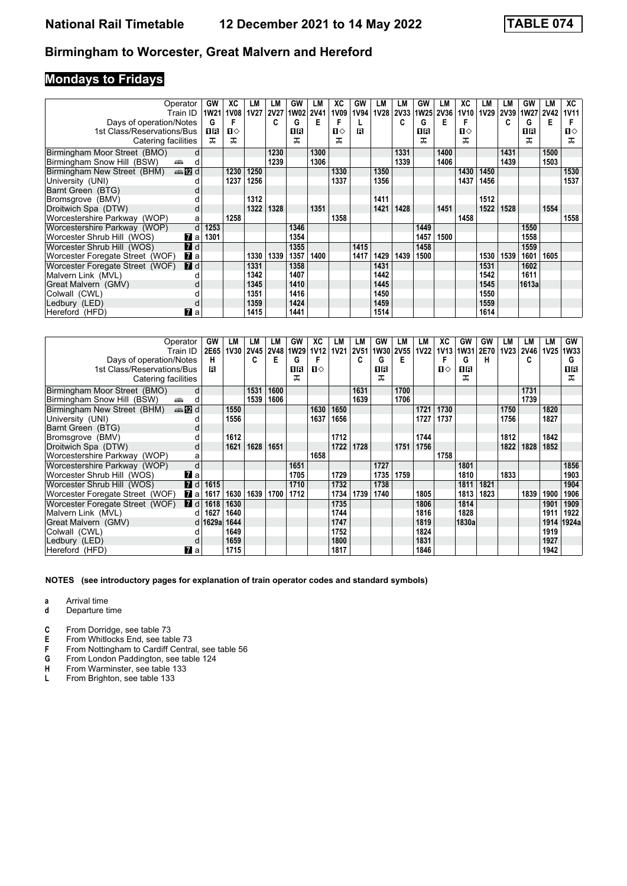# **Mondays to Fridays**

| Operator                                       | GW          | ХC<br><b>1V08</b> | LМ          | LM          | GW        | LМ   | ХC           | GW   | LМ<br><b>1V28</b> | LМ          | GW               | LM<br><b>2V36</b> | XC           | LM   | LМ   | GW        | LМ   | XC<br>1V11   |
|------------------------------------------------|-------------|-------------------|-------------|-------------|-----------|------|--------------|------|-------------------|-------------|------------------|-------------------|--------------|------|------|-----------|------|--------------|
| Train ID                                       | <b>1W21</b> |                   | <b>1V27</b> | <b>2V27</b> | 1W02 2V41 |      | 1V09         | 1V94 |                   | <b>2V33</b> | 1W <sub>25</sub> |                   | <b>1V10</b>  | 1V29 | 2V39 | 1W27 2V42 |      |              |
| Days of operation/Notes                        | G           | F                 |             | C           | G         | Е    |              |      |                   | c           | G                | Е                 | F            |      | C    | G         | Е    |              |
| 1st Class/Reservations/Bus                     | 0 B         | П⇔                |             |             | OR        |      | $\mathbf{u}$ | R    |                   |             | 18               |                   | $\mathbf{u}$ |      |      | OR        |      | $\mathbf{u}$ |
| Catering facilities                            | ᠼ           | ㅈ                 |             |             | ᅚ         |      | ᅚ            |      |                   |             | ᅚ                |                   | ㅈ            |      |      | ᅚ         |      | 굾            |
| Birmingham Moor Street (BMO)                   | d           |                   |             | 1230        |           | 1300 |              |      |                   | 1331        |                  | 1400              |              |      | 1431 |           | 1500 |              |
| Birmingham Snow Hill (BSW)<br>a film           | d           |                   |             | 1239        |           | 1306 |              |      |                   | 1339        |                  | 1406              |              |      | 1439 |           | 1503 |              |
| <b>en 12</b> d<br>Birmingham New Street (BHM)  |             | 1230              | 1250        |             |           |      | 1330         |      | 1350              |             |                  |                   | 1430         | 1450 |      |           |      | 1530         |
| University (UNI)                               |             | 1237              | 1256        |             |           |      | 1337         |      | 1356              |             |                  |                   | 1437         | 1456 |      |           |      | 1537         |
| Barnt Green (BTG)                              |             |                   |             |             |           |      |              |      |                   |             |                  |                   |              |      |      |           |      |              |
| Bromsgrove (BMV)                               |             |                   | 1312        |             |           |      |              |      | 1411              |             |                  |                   |              | 1512 |      |           |      |              |
| Droitwich Spa (DTW)                            | d           |                   | 1322        | 1328        |           | 1351 |              |      | 1421              | 1428        |                  | 1451              |              | 1522 | 1528 |           | 1554 |              |
| Worcestershire Parkway (WOP)                   | a           | 1258              |             |             |           |      | 1358         |      |                   |             |                  |                   | 1458         |      |      |           |      | 1558         |
| Worcestershire Parkway (WOP)                   | d<br>1253   |                   |             |             | 1346      |      |              |      |                   |             | 1449             |                   |              |      |      | 1550      |      |              |
| Worcester Shrub Hill (WOS)<br><b>7</b> a       | 1301        |                   |             |             | 1354      |      |              |      |                   |             | 1457             | 1500              |              |      |      | 1558      |      |              |
| $\blacksquare$ d<br>Worcester Shrub Hill (WOS) |             |                   |             |             | 1355      |      |              | 1415 |                   |             | 1458             |                   |              |      |      | 1559      |      |              |
| Worcester Foregate Street (WOF)<br><b>77</b> а |             |                   | 1330        | 1339        | 1357      | 1400 |              | 1417 | 1429              | 1439        | 1500             |                   |              | 1530 | 1539 | 1601      | 1605 |              |
| <b>7</b> d<br>Worcester Foregate Street (WOF)  |             |                   | 1331        |             | 1358      |      |              |      | 1431              |             |                  |                   |              | 1531 |      | 1602      |      |              |
| Malvern Link (MVL)                             | U           |                   | 1342        |             | 1407      |      |              |      | 1442              |             |                  |                   |              | 1542 |      | 1611      |      |              |
| Great Malvern (GMV)                            | d           |                   | 1345        |             | 1410      |      |              |      | 1445              |             |                  |                   |              | 1545 |      | 1613a     |      |              |
| Colwall (CWL)                                  |             |                   | 1351        |             | 1416      |      |              |      | 1450              |             |                  |                   |              | 1550 |      |           |      |              |
| Ledbury (LED)                                  | d           |                   | 1359        |             | 1424      |      |              |      | 1459              |             |                  |                   |              | 1559 |      |           |      |              |
| Hereford (HFD)<br><b>77</b> а                  |             |                   | 1415        |             | 1441      |      |              |      | 1514              |             |                  |                   |              | 1614 |      |           |      |              |

| Operator                                            | GW        | LM          | LМ          | LM          | GW          | XC           | LM          | LM          | GW   | LM          | LM          | XC   | GW    | GW   | LМ          | LM   | LМ          | GW    |
|-----------------------------------------------------|-----------|-------------|-------------|-------------|-------------|--------------|-------------|-------------|------|-------------|-------------|------|-------|------|-------------|------|-------------|-------|
| Train ID                                            | 2E65      | <b>1V30</b> | <b>2V45</b> | <b>2V48</b> | <b>1W29</b> | <b>1V12</b>  | <b>1V21</b> | <b>2V51</b> | 1W30 | <b>2V55</b> | <b>1V22</b> | 1V13 | 1W31  | 2E70 | <b>1V23</b> | 2V46 | <b>1V25</b> | 1W33  |
| Days of operation/Notes                             | н         |             | c           | E           | G           | F            |             |             | G    | Е           |             | F    | G     | н    |             | c    |             | G     |
| 1st Class/Reservations/Bus                          | R         |             |             |             | 1R          | $\mathbf{u}$ |             |             | OR   |             |             | п⇔   | 16    |      |             |      |             | 1 R   |
| Catering facilities                                 |           |             |             |             | ᅚ           |              |             |             | ᠼ    |             |             |      | ᅚ     |      |             |      |             | ᅚ     |
| Birmingham Moor Street (BMO)                        | d         |             | 1531        | 1600        |             |              |             | 1631        |      | 1700        |             |      |       |      |             | 1731 |             |       |
| Birmingham Snow Hill (BSW)<br>and and so            | d         |             | 1539        | 1606        |             |              |             | 1639        |      | 1706        |             |      |       |      |             | 1739 |             |       |
| <b>●IZd</b><br>Birmingham New Street (BHM)          |           | 1550        |             |             |             | 1630         | 1650        |             |      |             | 1721        | 1730 |       |      | 1750        |      | 1820        |       |
| University (UNI)                                    |           | 1556        |             |             |             | 1637         | 1656        |             |      |             | 1727        | 1737 |       |      | 1756        |      | 1827        |       |
| Barnt Green (BTG)                                   |           |             |             |             |             |              |             |             |      |             |             |      |       |      |             |      |             |       |
| Bromsgrove (BMV)                                    |           | 1612        |             |             |             |              | 1712        |             |      |             | 1744        |      |       |      | 1812        |      | 1842        |       |
| Droitwich Spa (DTW)                                 |           | 1621        | 1628        | 1651        |             |              | 1722        | 1728        |      | 1751        | 1756        |      |       |      | 1822        | 1828 | 1852        |       |
| Worcestershire Parkway (WOP)                        | a         |             |             |             |             | 1658         |             |             |      |             |             | 1758 |       |      |             |      |             |       |
| Worcestershire Parkway (WOP)                        | d         |             |             |             | 1651        |              |             |             | 1727 |             |             |      | 1801  |      |             |      |             | 1856  |
| <b>7</b> a<br>Worcester Shrub Hill (WOS)            |           |             |             |             | 1705        |              | 1729        |             | 1735 | 1759        |             |      | 1810  |      | 1833        |      |             | 1903  |
| $\overline{d}$<br>Worcester Shrub Hill (WOS)        | 1615      |             |             |             | 1710        |              | 1732        |             | 1738 |             |             |      | 1811  | 1821 |             |      |             | 1904  |
| Worcester Foregate Street (WOF)<br><b>7</b> a       | 1617      | 1630        | 1639        | 1700        | 1712        |              | 1734        | 1739        | 1740 |             | 1805        |      | 1813  | 1823 |             | 1839 | 1900        | 1906  |
| $\blacksquare$ d<br>Worcester Foregate Street (WOF) | 1618      | 1630        |             |             |             |              | 1735        |             |      |             | 1806        |      | 1814  |      |             |      | 1901        | 1909  |
| Malvern Link (MVL)                                  | 1627<br>d | 1640        |             |             |             |              | 1744        |             |      |             | 1816        |      | 1828  |      |             |      | 1911        | 1922  |
| Great Malvern (GMV)                                 | d   1629a | 1644        |             |             |             |              | 1747        |             |      |             | 1819        |      | 1830a |      |             |      | 1914        | 1924a |
| Colwall (CWL)                                       |           | 1649        |             |             |             |              | 1752        |             |      |             | 1824        |      |       |      |             |      | 1919        |       |
| Ledbury (LED)                                       |           | 1659        |             |             |             |              | 1800        |             |      |             | 1831        |      |       |      |             |      | 1927        |       |
| Hereford (HFD)<br><b>7</b> a                        |           | 1715        |             |             |             |              | 1817        |             |      |             | 1846        |      |       |      |             |      | 1942        |       |

#### **NOTES (see introductory pages for explanation of train operator codes and standard symbols)**

**a** Arrival time

- **d** Departure time
- **C** From Dorridge, see table 73

**E** From Whitlocks End, see table 73

- **F** From Nottingham to Cardiff Central, see table 56<br>**G** From London Paddington, see table 124
- **6** From London Paddington, see table 124<br>**H** From Warminster, see table 133
- **+** From Warminster, see table 133<br>**L** From Brighton, see table 133
- From Brighton, see table 133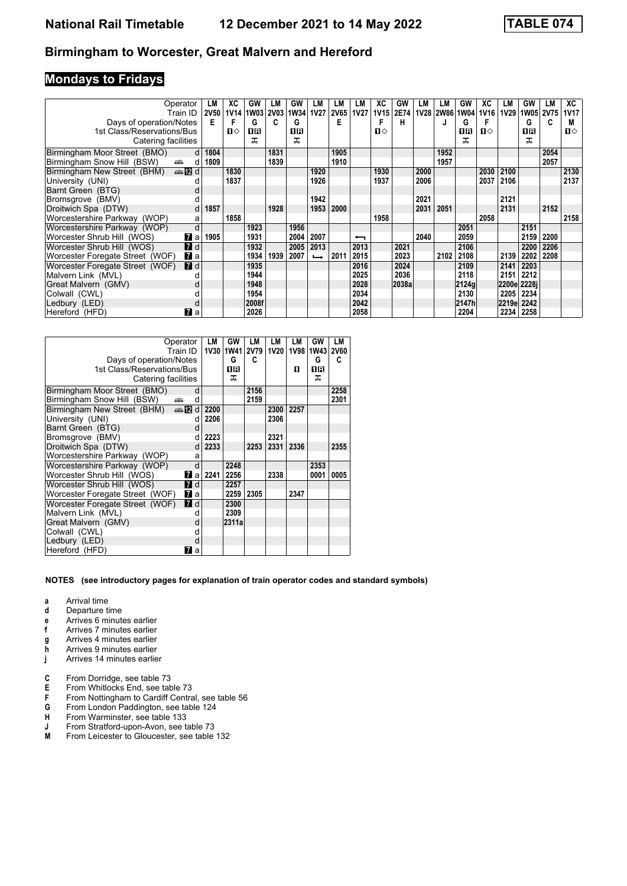## **Mondays to Fridays**

| Operator                                                                                                                                                                                                                                                    | LM                   | ХC          | GW    | LM          | GW        | LM                       | LM          | LM                       | XC           | GW    | LM   | LM        | GW    | XC   | LM    | GW    | LМ          | XC           |
|-------------------------------------------------------------------------------------------------------------------------------------------------------------------------------------------------------------------------------------------------------------|----------------------|-------------|-------|-------------|-----------|--------------------------|-------------|--------------------------|--------------|-------|------|-----------|-------|------|-------|-------|-------------|--------------|
| Train ID                                                                                                                                                                                                                                                    | <b>2V50</b>          | <b>1V14</b> | 1W03  | <b>2V03</b> | 1W34 1V27 |                          | <b>2V65</b> | <b>1V27</b>              | <b>1V15</b>  | 2E74  |      | 1V28 2W86 | 1W04  | 1V16 | 1V29  | 1W05  | <b>2V75</b> | 1V17         |
| Days of operation/Notes                                                                                                                                                                                                                                     | Е                    | F           | G     | C           | G         |                          | E           |                          |              | н     |      |           | G     |      |       | G     | C           | М            |
| 1st Class/Reservations/Bus                                                                                                                                                                                                                                  |                      | п⇔          | 0 B   |             | ПR        |                          |             |                          | $\mathbf{n}$ |       |      |           | 0 B   | п⇔   |       | 1 R   |             | $\mathbf{n}$ |
| Catering facilities                                                                                                                                                                                                                                         |                      |             | ᠼ     |             | ᅚ         |                          |             |                          |              |       |      |           | ᠼ     |      |       | ᅚ     |             |              |
| Birmingham Moor Street (BMO)                                                                                                                                                                                                                                | 1804<br>$\mathsf{d}$ |             |       | 1831        |           |                          | 1905        |                          |              |       |      | 1952      |       |      |       |       | 2054        |              |
| Birmingham Snow Hill (BSW)<br>and the second second second second the second second second second second second second second second second second second second second second second second second second second second second second second second second | 1809<br>d            |             |       | 1839        |           |                          | 1910        |                          |              |       |      | 1957      |       |      |       |       | 2057        |              |
| <b>⊯n2d</b><br>Birmingham New Street (BHM)                                                                                                                                                                                                                  |                      | 1830        |       |             |           | 1920                     |             |                          | 1930         |       | 2000 |           |       | 2030 | 2100  |       |             | 2130         |
| University (UNI)                                                                                                                                                                                                                                            |                      | 1837        |       |             |           | 1926                     |             |                          | 1937         |       | 2006 |           |       | 2037 | 2106  |       |             | 2137         |
| Barnt Green (BTG)                                                                                                                                                                                                                                           |                      |             |       |             |           |                          |             |                          |              |       |      |           |       |      |       |       |             |              |
| Bromsgrove (BMV)                                                                                                                                                                                                                                            |                      |             |       |             |           | 1942                     |             |                          |              |       | 2021 |           |       |      | 2121  |       |             |              |
| Droitwich Spa (DTW)                                                                                                                                                                                                                                         | 1857<br>d            |             |       | 1928        |           | 1953                     | 2000        |                          |              |       | 2031 | 2051      |       |      | 2131  |       | 2152        |              |
| Worcestershire Parkway (WOP)                                                                                                                                                                                                                                | a                    | 1858        |       |             |           |                          |             |                          | 1958         |       |      |           |       | 2058 |       |       |             | 2158         |
| Worcestershire Parkway (WOP)                                                                                                                                                                                                                                | d                    |             | 1923  |             | 1956      |                          |             |                          |              |       |      |           | 2051  |      |       | 2151  |             |              |
| 77 a<br>Worcester Shrub Hill (WOS)                                                                                                                                                                                                                          | 1905                 |             | 1931  |             | 2004      | 2007                     |             | $\overline{\phantom{0}}$ |              |       | 2040 |           | 2059  |      |       | 2159  | 2200        |              |
| $\blacksquare$ d<br>Worcester Shrub Hill (WOS)                                                                                                                                                                                                              |                      |             | 1932  |             | 2005      | 2013                     |             | 2013                     |              | 2021  |      |           | 2106  |      |       | 2200  | 2206        |              |
| Worcester Foregate Street (WOF)<br>$\mathbf{z}$ a                                                                                                                                                                                                           |                      |             | 1934  | 1939        | 2007      | $\overline{\phantom{a}}$ | 2011        | 2015                     |              | 2023  |      | 2102      | 2108  |      | 2139  | 2202  | 2208        |              |
| Worcester Foregate Street (WOF)<br><b>7</b> d                                                                                                                                                                                                               |                      |             | 1935  |             |           |                          |             | 2016                     |              | 2024  |      |           | 2109  |      | 2141  | 2203  |             |              |
| Malvern Link (MVL)                                                                                                                                                                                                                                          |                      |             | 1944  |             |           |                          |             | 2025                     |              | 2036  |      |           | 2118  |      | 2151  | 2212  |             |              |
| Great Malvern (GMV)                                                                                                                                                                                                                                         |                      |             | 1948  |             |           |                          |             | 2028                     |              | 2038a |      |           | 2124g |      | 2200e | 2228i |             |              |
| Colwall (CWL)                                                                                                                                                                                                                                               |                      |             | 1954  |             |           |                          |             | 2034                     |              |       |      |           | 2130  |      | 2205  | 2234  |             |              |
| Ledbury (LED)                                                                                                                                                                                                                                               |                      |             | 2008f |             |           |                          |             | 2042                     |              |       |      |           | 2147h |      | 2219e | 2242  |             |              |
| <b>77</b> а<br>Hereford (HFD)                                                                                                                                                                                                                               |                      |             | 2026  |             |           |                          |             | 2058                     |              |       |      |           | 2204  |      | 2234  | 2258  |             |              |

| Operator<br>Train ID                                 |     | LM<br><b>1V30</b> | GW<br><b>1W41</b> | LМ<br><b>2V79</b> | LМ<br>1V20 | LМ   | GW<br>1V98 1W43 | <b>LM</b><br><b>2V60</b> |
|------------------------------------------------------|-----|-------------------|-------------------|-------------------|------------|------|-----------------|--------------------------|
| Days of operation/Notes                              |     |                   | G                 | C                 |            |      | G               | c                        |
| 1st Class/Reservations/Bus                           |     |                   | 1 R               |                   |            | п    | 16              |                          |
| Catering facilities                                  |     |                   | ᅚ                 |                   |            |      | ᅚ               |                          |
| Birmingham Moor Street (BMO)                         | d   |                   |                   | 2156              |            |      |                 | 2258                     |
| Birmingham Snow Hill (BSW)<br>پیش                    | d   |                   |                   | 2159              |            |      |                 | 2301                     |
| Birmingham New Street (BHM)<br>$\oplus$ $\mathbb{Z}$ | d   | 2200              |                   |                   | 2300       | 2257 |                 |                          |
| University (UNI)                                     | d   | 2206              |                   |                   | 2306       |      |                 |                          |
| Barnt Green (BTG)                                    | d   |                   |                   |                   |            |      |                 |                          |
| Bromsgrove (BMV)                                     | d   | 2223              |                   |                   | 2321       |      |                 |                          |
| Droitwich Spa (DTW)                                  | d   | 2233              |                   | 2253              | 2331       | 2336 |                 | 2355                     |
| Worcestershire Parkway (WOP)                         | a   |                   |                   |                   |            |      |                 |                          |
| Worcestershire Parkway (WOP)                         | d   |                   | 2248              |                   |            |      | 2353            |                          |
| Worcester Shrub Hill (WOS)                           | Иa. | 2241              | 2256              |                   | 2338       |      | 0001            | 0005                     |
| Worcester Shrub Hill (WOS)<br><b>7</b> d             |     |                   | 2257              |                   |            |      |                 |                          |
| Worcester Foregate Street (WOF)<br>$\mathbf{z}$ a    |     |                   | 2259              | 2305              |            | 2347 |                 |                          |
| Worcester Foregate Street (WOF)<br><b>7</b> d        |     |                   | 2300              |                   |            |      |                 |                          |
| Malvern Link (MVL)                                   | d   |                   | 2309              |                   |            |      |                 |                          |
| Great Malvern (GMV)                                  | d   |                   | 2311a             |                   |            |      |                 |                          |
| Colwall (CWL)                                        |     |                   |                   |                   |            |      |                 |                          |
| Ledbury (LED)                                        | d   |                   |                   |                   |            |      |                 |                          |
| Hereford (HFD)<br>7                                  | a   |                   |                   |                   |            |      |                 |                          |

- **a** Arrival time
- **d** Departure time
- **e** Arrives 6 minutes earlier<br>**f** Arrives 7 minutes earlier
- **f** Arrives 7 minutes earlier
- **g** Arrives 4 minutes earlier<br>**h** Arrives 9 minutes earlier
- **Arrives 9 minutes earlier**
- **j** Arrives 14 minutes earlier
- **C** From Dorridge, see table 73<br>**E** From Whitlocks End, see table
- **E** From Whitlocks End, see table 73<br>**F** From Nottingham to Cardiff Centra
- **F** From Nottingham to Cardiff Central, see table 56<br>**G** From London Paddington, see table 124
- From London Paddington, see table 124
- **+** From Warminster, see table 133<br>**+** From Stratford-upon-Avon, see to
- **J** From Stratford-upon-Avon, see table 73<br>**M** From Leicester to Gloucester, see table
- From Leicester to Gloucester, see table 132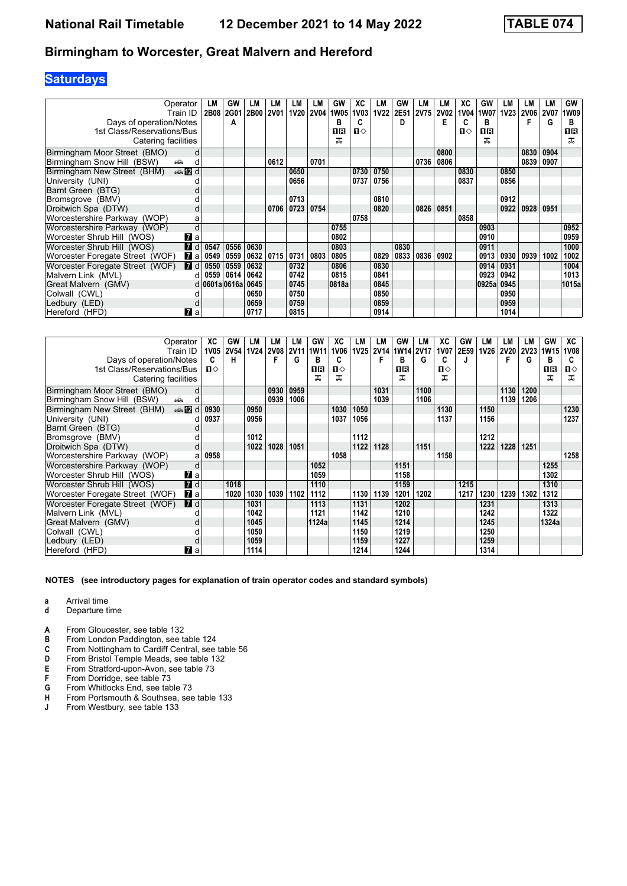## **Saturdays**

| Operator<br>Train ID                                | LM<br>2B08    | GW<br>2G01 | LМ<br><b>2B00</b> | LM<br><b>2V01</b> | LМ<br>1V20  | LМ<br><b>2V04</b> | GW<br>1W05 | ХC<br><b>1V03</b> | LМ<br><b>1V22</b> | GW<br>2E51 | LМ<br>2V75 | LM<br><b>2V02</b> | ХC<br>1V04 | GW<br>1W07 | LМ<br>1V <sub>23</sub> | LМ<br><b>2V06</b> | LM<br><b>2V07</b> | GW<br><b>1W09</b> |
|-----------------------------------------------------|---------------|------------|-------------------|-------------------|-------------|-------------------|------------|-------------------|-------------------|------------|------------|-------------------|------------|------------|------------------------|-------------------|-------------------|-------------------|
| Days of operation/Notes                             |               | A          |                   |                   |             |                   | В          |                   |                   | D          |            | Е                 | C          | в          |                        |                   | G                 | в                 |
| 1st Class/Reservations/Bus                          |               |            |                   |                   |             |                   | 18         | $\mathbf{u}$      |                   |            |            |                   | Ⅱ♦         | 1R         |                        |                   |                   | 0B                |
| Catering facilities                                 |               |            |                   |                   |             |                   | ᅚ          |                   |                   |            |            |                   |            | ᅚ          |                        |                   |                   | ᅚ                 |
| Birmingham Moor Street (BMO)<br>d                   |               |            |                   |                   |             |                   |            |                   |                   |            |            | 0800              |            |            |                        | 0830              | 0904              |                   |
| Birmingham Snow Hill (BSW)<br>پیش<br>d              |               |            |                   | 0612              |             | 0701              |            |                   |                   |            | 0736       | 0806              |            |            |                        | 0839              | 0907              |                   |
| <b>enta D</b> d<br>Birmingham New Street (BHM)      |               |            |                   |                   | 0650        |                   |            | 0730              | 0750              |            |            |                   | 0830       |            | 0850                   |                   |                   |                   |
| University (UNI)                                    |               |            |                   |                   | 0656        |                   |            | 0737              | 0756              |            |            |                   | 0837       |            | 0856                   |                   |                   |                   |
| Barnt Green (BTG)                                   |               |            |                   |                   |             |                   |            |                   |                   |            |            |                   |            |            |                        |                   |                   |                   |
| Bromsgrove (BMV)                                    |               |            |                   |                   | 0713        |                   |            |                   | 0810              |            |            |                   |            |            | 0912                   |                   |                   |                   |
| Droitwich Spa (DTW)<br>a                            |               |            |                   | 0706              | 0723   0754 |                   |            |                   | 0820              |            | 0826       | 0851              |            |            | 0922                   | 0928              | 0951              |                   |
| Worcestershire Parkway (WOP)<br>a                   |               |            |                   |                   |             |                   |            | 0758              |                   |            |            |                   | 0858       |            |                        |                   |                   |                   |
| d<br>Worcestershire Parkway (WOP)                   |               |            |                   |                   |             |                   | 0755       |                   |                   |            |            |                   |            | 0903       |                        |                   |                   | 0952              |
| Worcester Shrub Hill (WOS)<br><b>7</b> а            |               |            |                   |                   |             |                   | 0802       |                   |                   |            |            |                   |            | 0910       |                        |                   |                   | 0959              |
| $\overline{d}$<br>Worcester Shrub Hill (WOS)        | 0547          | 0556       | 0630              |                   |             |                   | 0803       |                   |                   | 0830       |            |                   |            | 0911       |                        |                   |                   | 1000              |
| Worcester Foregate Street (WOF)<br>77 а             | 0549          | 0559       | 0632   0715       |                   | 0731 0803   |                   | 0805       |                   | 0829              | 0833       | 0836       | 0902              |            | 0913       | 0930                   | 0939              | 1002              | 1002              |
| $\blacksquare$ d<br>Worcester Foregate Street (WOF) | 0550          | 0559       | 0632              |                   | 0732        |                   | 0806       |                   | 0830              |            |            |                   |            | 0914       | 0931                   |                   |                   | 1004              |
| Malvern Link (MVL)<br>d                             | 0559          | 0614       | 0642              |                   | 0742        |                   | 0815       |                   | 0841              |            |            |                   |            | 0923       | 0942                   |                   |                   | 1013              |
| Great Malvern (GMV)                                 | d 0601a 0616a |            | 0645              |                   | 0745        |                   | 0818a      |                   | 0845              |            |            |                   |            | 0925al     | 0945                   |                   |                   | 1015a             |
| Colwall (CWL)                                       |               |            | 0650              |                   | 0750        |                   |            |                   | 0850              |            |            |                   |            |            | 0950                   |                   |                   |                   |
| Ledbury (LED)                                       |               |            | 0659              |                   | 0759        |                   |            |                   | 0859              |            |            |                   |            |            | 0959                   |                   |                   |                   |
| $\mathbf{z}$ a<br>Hereford (HFD)                    |               |            | 0717              |                   | 0815        |                   |            |                   | 0914              |            |            |                   |            |            | 1014                   |                   |                   |                   |

| Operator                                            | ХC           | GW          | LМ   | LM          | LM          | GW    | XC   | LM          | LМ          | GW        | LМ   | XC           | GW   | LM   | LM   | LМ   | GW        | ХC          |
|-----------------------------------------------------|--------------|-------------|------|-------------|-------------|-------|------|-------------|-------------|-----------|------|--------------|------|------|------|------|-----------|-------------|
| Train ID                                            | 1V05         | <b>2V54</b> | 1V24 | <b>2V08</b> | <b>2V11</b> | 1W11  | 1V06 | <b>1V25</b> | <b>2V14</b> | 1W14 2V17 |      | <b>1V07</b>  | 2E59 | 1V26 | 2V20 |      | 2V23 1W15 | <b>1V08</b> |
| Days of operation/Notes                             | C            | н           |      |             | G           | в     | C    |             |             | в         | G    | C            |      |      | F    | G    | В         |             |
| 1st Class/Reservations/Bus                          | $\mathbf{n}$ |             |      |             |             | 16    | П⇔   |             |             | ПR        |      | $\mathbf{u}$ |      |      |      |      | 16        | ்ப          |
| Catering facilities                                 |              |             |      |             |             | ᠼ     | ᅚ    |             |             | ᅚ         |      | ᠼ            |      |      |      |      | ᅚ         | ᠼ           |
| Birmingham Moor Street (BMO)                        | d            |             |      | 0930        | 0959        |       |      |             | 1031        |           | 1100 |              |      |      | 1130 | 1200 |           |             |
| Birmingham Snow Hill (BSW)<br>پیش                   | d            |             |      | 0939        | 1006        |       |      |             | 1039        |           | 1106 |              |      |      | 1139 | 1206 |           |             |
| <b>●IZd</b><br>Birmingham New Street (BHM)          | 0930         |             | 0950 |             |             |       | 1030 | 1050        |             |           |      | 1130         |      | 1150 |      |      |           | 1230        |
| University (UNI)                                    | 0937         |             | 0956 |             |             |       | 1037 | 1056        |             |           |      | 1137         |      | 1156 |      |      |           | 1237        |
| Barnt Green (BTG)                                   |              |             |      |             |             |       |      |             |             |           |      |              |      |      |      |      |           |             |
| Bromsgrove (BMV)                                    |              |             | 1012 |             |             |       |      | 1112        |             |           |      |              |      | 1212 |      |      |           |             |
| Droitwich Spa (DTW)                                 | d            |             | 1022 | 1028        | 1051        |       |      | 1122        | 1128        |           | 1151 |              |      | 1222 | 1228 | 1251 |           |             |
| Worcestershire Parkway (WOP)                        | 0958<br>a    |             |      |             |             |       | 1058 |             |             |           |      | 1158         |      |      |      |      |           | 1258        |
| Worcestershire Parkway (WOP)                        | d            |             |      |             |             | 1052  |      |             |             | 1151      |      |              |      |      |      |      | 1255      |             |
| Worcester Shrub Hill (WOS)<br><b>7</b> a            |              |             |      |             |             | 1059  |      |             |             | 1158      |      |              |      |      |      |      | 1302      |             |
| <b>7</b> d<br>Worcester Shrub Hill (WOS)            |              | 1018        |      |             |             | 1110  |      |             |             | 1159      |      |              | 1215 |      |      |      | 1310      |             |
| $\mathbf{z}$ a<br>Worcester Foregate Street (WOF)   |              | 1020        | 1030 | 1039        | 1102        | 1112  |      | 1130        | 1139        | 1201      | 1202 |              | 1217 | 1230 | 1239 | 1302 | 1312      |             |
| $\blacksquare$ d<br>Worcester Foregate Street (WOF) |              |             | 1031 |             |             | 1113  |      | 1131        |             | 1202      |      |              |      | 1231 |      |      | 1313      |             |
| Malvern Link (MVL)                                  |              |             | 1042 |             |             | 1121  |      | 1142        |             | 1210      |      |              |      | 1242 |      |      | 1322      |             |
| Great Malvern (GMV)                                 |              |             | 1045 |             |             | 1124a |      | 1145        |             | 1214      |      |              |      | 1245 |      |      | 1324a     |             |
| Colwall (CWL)                                       |              |             | 1050 |             |             |       |      | 1150        |             | 1219      |      |              |      | 1250 |      |      |           |             |
| Ledbury (LED)                                       |              |             | 1059 |             |             |       |      | 1159        |             | 1227      |      |              |      | 1259 |      |      |           |             |
| <b>7</b> a<br>Hereford (HFD)                        |              |             | 1114 |             |             |       |      | 1214        |             | 1244      |      |              |      | 1314 |      |      |           |             |

- **a** Arrival time
- **d** Departure time
- **A** From Gloucester, see table 132
- **B** From London Paddington, see table 124
- **C** From Nottingham to Cardiff Central, see table 56<br> **D** From Bristol Temple Meads, see table 132<br> **E** From Stratford-upon-Avon, see table 73
- **D** From Bristol Temple Meads, see table 132
- **E** From Stratford-upon-Avon, see table 73
- **F** From Dorridge, see table 73<br>**G** From Whitlocks End, see table
- **6** From Whitlocks End, see table 73<br>**H** From Portsmouth & Southsea, see
- **H** From Portsmouth & Southsea, see table 133 **J** From Westbury, see table 133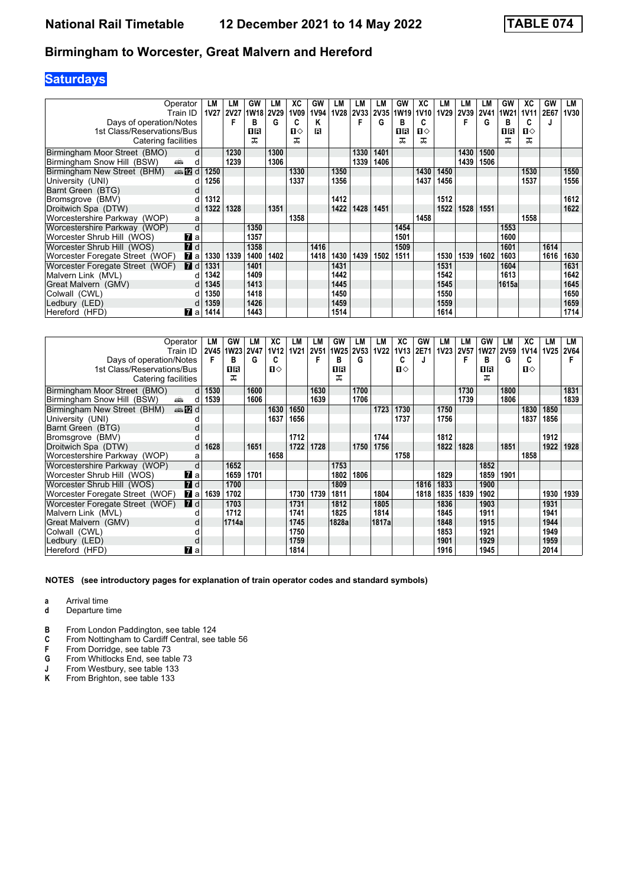## **Saturdays**

| Operator<br>Train ID<br>Days of operation/Notes                       | LM<br><b>1V27</b> | LM<br><b>2V27</b><br>F | GW<br>1W18 2V29<br>B | LМ<br>G      | ХC<br>1V09<br>C   | GW<br>1V94<br>κ | LM<br><b>1V28</b> | LM<br>2V33   | LМ<br><b>2V35</b><br>G | GW<br>1W <sub>19</sub><br>в | XC<br>1V <sub>10</sub><br>C | LM<br>1V29 | LM<br><b>2V39</b><br>F | LM<br><b>2V41</b><br>G | GW<br><b>1W21</b><br>в | XC<br>1V11<br>C   | GW<br>2E67<br>J | LM<br><b>1V30</b> |
|-----------------------------------------------------------------------|-------------------|------------------------|----------------------|--------------|-------------------|-----------------|-------------------|--------------|------------------------|-----------------------------|-----------------------------|------------|------------------------|------------------------|------------------------|-------------------|-----------------|-------------------|
| 1st Class/Reservations/Bus<br>Catering facilities                     |                   |                        | OR<br>ᅚ              |              | $\mathbf{u}$<br>ᅚ | R               |                   |              |                        | 1R<br>ᅚ                     | П⇔<br>ᅚ                     |            |                        |                        | 0 B<br>ᠼ               | $\mathbf{n}$<br>ᠼ |                 |                   |
| Birmingham Moor Street (BMO)<br>d<br>Birmingham Snow Hill (BSW)<br>æ. |                   | 1230<br>1239           |                      | 1300<br>1306 |                   |                 |                   | 1330<br>1339 | 1401<br>1406           |                             |                             |            | 1430<br>1439           | 1500<br>1506           |                        |                   |                 |                   |
| d<br><b>▲卫</b> d<br>Birmingham New Street (BHM)                       | 1250              |                        |                      |              | 1330              |                 | 1350              |              |                        |                             | 1430                        | 1450       |                        |                        |                        | 1530              |                 | 1550              |
| University (UNI)<br>а                                                 | 1256              |                        |                      |              | 1337              |                 | 1356              |              |                        |                             | 1437                        | 1456       |                        |                        |                        | 1537              |                 | 1556              |
| Barnt Green (BTG)                                                     |                   |                        |                      |              |                   |                 |                   |              |                        |                             |                             |            |                        |                        |                        |                   |                 |                   |
| Bromsgrove (BMV)                                                      | 1312<br>d.        |                        |                      |              |                   |                 | 1412              |              |                        |                             |                             | 1512       |                        |                        |                        |                   |                 | 1612              |
| Droitwich Spa (DTW)<br>d                                              | 1322              | 1328                   |                      | 1351         |                   |                 | 1422              | 1428         | 1451                   |                             |                             | 1522       | 1528                   | 1551                   |                        |                   |                 | 1622              |
| Worcestershire Parkway (WOP)<br>a                                     |                   |                        |                      |              | 1358              |                 |                   |              |                        |                             | 1458                        |            |                        |                        |                        | 1558              |                 |                   |
| d<br>Worcestershire Parkway (WOP)                                     |                   |                        | 1350                 |              |                   |                 |                   |              |                        | 1454                        |                             |            |                        |                        | 1553                   |                   |                 |                   |
| Worcester Shrub Hill (WOS)<br><b>7</b> a                              |                   |                        | 1357                 |              |                   |                 |                   |              |                        | 1501                        |                             |            |                        |                        | 1600                   |                   |                 |                   |
| 7d<br>Worcester Shrub Hill (WOS)                                      |                   |                        | 1358                 |              |                   | 1416            |                   |              |                        | 1509                        |                             |            |                        |                        | 1601                   |                   | 1614            |                   |
| Worcester Foregate Street (WOF)<br>$\mathbf{z}$ a                     | 1330              | 1339                   | 1400                 | 1402         |                   | 1418            | 1430              | 1439         | 1502                   | 1511                        |                             | 1530       | 1539                   | 1602                   | 1603                   |                   | 1616            | 1630              |
| <b>7</b> d<br>Worcester Foregate Street (WOF)                         | 1331              |                        | 1401                 |              |                   |                 | 1431              |              |                        |                             |                             | 1531       |                        |                        | 1604                   |                   |                 | 1631              |
| Malvern Link (MVL)<br>d                                               | 1342              |                        | 1409                 |              |                   |                 | 1442              |              |                        |                             |                             | 1542       |                        |                        | 1613                   |                   |                 | 1642              |
| Great Malvern (GMV)<br>d                                              | 1345              |                        | 1413                 |              |                   |                 | 1445              |              |                        |                             |                             | 1545       |                        |                        | 1615a                  |                   |                 | 1645              |
| Colwall (CWL)<br>U                                                    | 1350              |                        | 1418                 |              |                   |                 | 1450              |              |                        |                             |                             | 1550       |                        |                        |                        |                   |                 | 1650              |
| Ledbury (LED)<br>d                                                    | 1359              |                        | 1426                 |              |                   |                 | 1459              |              |                        |                             |                             | 1559       |                        |                        |                        |                   |                 | 1659              |
| Hereford (HFD)<br><b>7</b> a                                          | 1414              |                        | 1443                 |              |                   |                 | 1514              |              |                        |                             |                             | 1614       |                        |                        |                        |                   |                 | 1714              |

| Operator                                                                                                                                                                                                                                                    | LM        | GW        | LМ          | ХC           | LM          | LM   | <b>GW</b>      | LM   | LM          | XC          | GW   | LM   | LМ   | GW          | LM          | XC   | LМ          | LM          |
|-------------------------------------------------------------------------------------------------------------------------------------------------------------------------------------------------------------------------------------------------------------|-----------|-----------|-------------|--------------|-------------|------|----------------|------|-------------|-------------|------|------|------|-------------|-------------|------|-------------|-------------|
| Train ID                                                                                                                                                                                                                                                    |           | 2V45 1W23 | <b>2V47</b> | <b>1V12</b>  | <b>1V21</b> |      | 2V51 1W25 2V53 |      | <b>1V22</b> | <b>1V13</b> | 2E71 | 1V23 | 2V57 | <b>1W27</b> | <b>2V59</b> | 1V14 | <b>1V25</b> | <b>2V64</b> |
| Days of operation/Notes                                                                                                                                                                                                                                     | F         | в         | G           | C            |             | F    | в              | G    |             | C           |      |      | F    | в           | G           | c    |             |             |
| 1st Class/Reservations/Bus                                                                                                                                                                                                                                  |           | 1R        |             | $\mathbf{u}$ |             |      | OR             |      |             | $\Pi$       |      |      |      | 16          |             | п⇔   |             |             |
| Catering facilities                                                                                                                                                                                                                                         |           | ᅚ         |             |              |             |      | ᅚ              |      |             |             |      |      |      | ᅚ           |             |      |             |             |
| Birmingham Moor Street (BMO)                                                                                                                                                                                                                                | 1530<br>d |           | 1600        |              |             | 1630 |                | 1700 |             |             |      |      | 1730 |             | 1800        |      |             | 1831        |
| Birmingham Snow Hill (BSW)<br>and the second second second second the second second second second second second second second second second second second second second second second second second second second second second second second second second | 1539<br>d |           | 1606        |              |             | 1639 |                | 1706 |             |             |      |      | 1739 |             | 1806        |      |             | 1839        |
| <b>en 12</b> d<br>Birmingham New Street (BHM)                                                                                                                                                                                                               |           |           |             | 1630         | 1650        |      |                |      | 1723        | 1730        |      | 1750 |      |             |             | 1830 | 1850        |             |
| University (UNI)                                                                                                                                                                                                                                            |           |           |             | 1637         | 1656        |      |                |      |             | 1737        |      | 1756 |      |             |             | 1837 | 1856        |             |
| Barnt Green (BTG)                                                                                                                                                                                                                                           |           |           |             |              |             |      |                |      |             |             |      |      |      |             |             |      |             |             |
| Bromsgrove (BMV)                                                                                                                                                                                                                                            |           |           |             |              | 1712        |      |                |      | 1744        |             |      | 1812 |      |             |             |      | 1912        |             |
| Droitwich Spa (DTW)                                                                                                                                                                                                                                         | 1628      |           | 1651        |              | 1722        | 1728 |                | 1750 | 1756        |             |      | 1822 | 1828 |             | 1851        |      | 1922        | 1928        |
| Worcestershire Parkway (WOP)<br>a                                                                                                                                                                                                                           |           |           |             | 1658         |             |      |                |      |             | 1758        |      |      |      |             |             | 1858 |             |             |
| d<br>Worcestershire Parkway (WOP)                                                                                                                                                                                                                           |           | 1652      |             |              |             |      | 1753           |      |             |             |      |      |      | 1852        |             |      |             |             |
| <b>7</b> а<br>Worcester Shrub Hill (WOS)                                                                                                                                                                                                                    |           | 1659      | 1701        |              |             |      | 1802           | 1806 |             |             |      | 1829 |      | 1859        | 1901        |      |             |             |
| $\blacksquare$ d<br>Worcester Shrub Hill (WOS)                                                                                                                                                                                                              |           | 1700      |             |              |             |      | 1809           |      |             |             | 1816 | 1833 |      | 1900        |             |      |             |             |
| $\mathbf{z}$ a<br>Worcester Foregate Street (WOF)                                                                                                                                                                                                           | 1639      | 1702      |             |              | 1730        | 1739 | 1811           |      | 1804        |             | 1818 | 1835 | 1839 | 1902        |             |      | 1930        | 1939        |
| $\blacksquare$ d<br>Worcester Foregate Street (WOF)                                                                                                                                                                                                         |           | 1703      |             |              | 1731        |      | 1812           |      | 1805        |             |      | 1836 |      | 1903        |             |      | 1931        |             |
| Malvern Link (MVL)                                                                                                                                                                                                                                          |           | 1712      |             |              | 1741        |      | 1825           |      | 1814        |             |      | 1845 |      | 1911        |             |      | 1941        |             |
| Great Malvern (GMV)<br>d                                                                                                                                                                                                                                    |           | 1714a     |             |              | 1745        |      | 1828a          |      | 1817a       |             |      | 1848 |      | 1915        |             |      | 1944        |             |
| Colwall (CWL)                                                                                                                                                                                                                                               |           |           |             |              | 1750        |      |                |      |             |             |      | 1853 |      | 1921        |             |      | 1949        |             |
| Ledbury (LED)                                                                                                                                                                                                                                               |           |           |             |              | 1759        |      |                |      |             |             |      | 1901 |      | 1929        |             |      | 1959        |             |
| <b>77</b> а<br>Hereford (HFD)                                                                                                                                                                                                                               |           |           |             |              | 1814        |      |                |      |             |             |      | 1916 |      | 1945        |             |      | 2014        |             |

#### **NOTES (see introductory pages for explanation of train operator codes and standard symbols)**

**a** Arrival time

- **d** Departure time
- **B** From London Paddington, see table 124
- **C** From Nottingham to Cardiff Central, see table 56

**F** From Dorridge, see table 73<br>**G** From Whitlocks End, see table<br>**J** From Westbury, see table 13

From Whitlocks End, see table 73

- **5**<br>**-** From Westbury, see table 133<br>**K** From Brighton, see table 133
- From Brighton, see table 133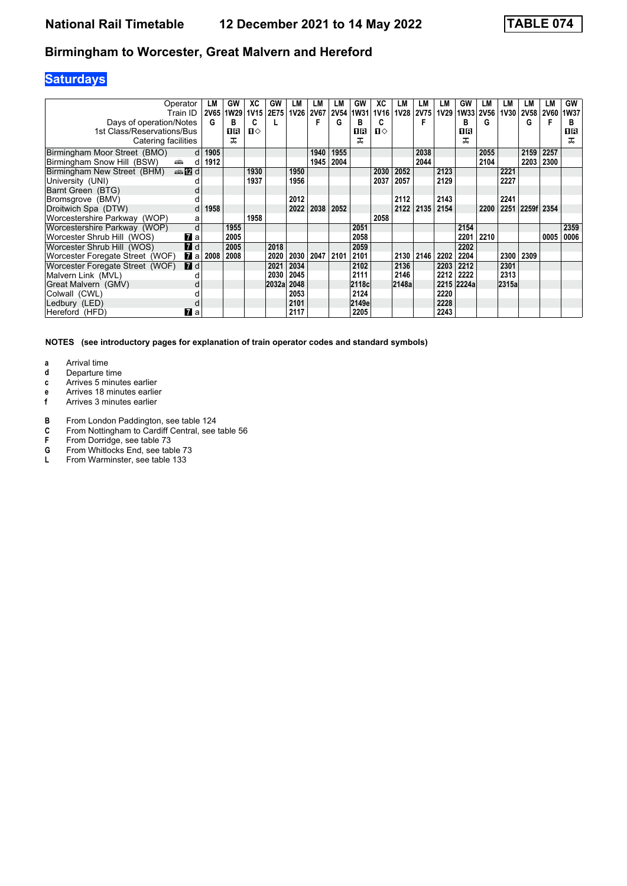## **Saturdays**

|                                 | Operator<br>Train ID | LM<br>2V65 | GW<br>1W29 | XC<br><b>1V15</b> | GW<br>2E75 | LМ<br><b>1V26</b> | LM<br><b>2V67</b> | LM<br><b>2V54</b> | GW<br>1W31 | ХC<br><b>1V16</b> | LM<br><b>1V28</b> | LM<br><b>2V75</b> | LM<br><b>1V29</b> | GW<br>1W33 | LМ<br><b>2V56</b> | LМ<br><b>1V30</b> | LM<br><b>2V58</b> | LМ<br><b>2V60</b> | GW<br><b>1W37</b> |
|---------------------------------|----------------------|------------|------------|-------------------|------------|-------------------|-------------------|-------------------|------------|-------------------|-------------------|-------------------|-------------------|------------|-------------------|-------------------|-------------------|-------------------|-------------------|
| Days of operation/Notes         |                      | G          | в          | c                 |            |                   |                   | G                 | в          | c                 |                   |                   |                   | B          | G                 |                   | G                 |                   | B                 |
| 1st Class/Reservations/Bus      |                      |            | 16         | $\mathbf{u}$      |            |                   |                   |                   | 1R         | $\mathbf{u}$      |                   |                   |                   | 16         |                   |                   |                   |                   | 1 R               |
| Catering facilities             |                      |            | ᠼ          |                   |            |                   |                   |                   | ᅚ          |                   |                   |                   |                   | ᅚ          |                   |                   |                   |                   | ᠼ                 |
| Birmingham Moor Street (BMO)    | d                    | 1905       |            |                   |            |                   | 1940              | 1955              |            |                   |                   | 2038              |                   |            | 2055              |                   | 2159              | 2257              |                   |
| Birmingham Snow Hill (BSW)      | پیش<br>d             | 1912       |            |                   |            |                   | 1945              | 2004              |            |                   |                   | 2044              |                   |            | 2104              |                   | 2203              | 2300              |                   |
| Birmingham New Street (BHM)     | <b>en 12</b> d       |            |            | 1930              |            | 1950              |                   |                   |            | 2030              | 2052              |                   | 2123              |            |                   | 2221              |                   |                   |                   |
| University (UNI)                |                      |            |            | 1937              |            | 1956              |                   |                   |            | 2037              | 2057              |                   | 2129              |            |                   | 2227              |                   |                   |                   |
| Barnt Green (BTG)               |                      |            |            |                   |            |                   |                   |                   |            |                   |                   |                   |                   |            |                   |                   |                   |                   |                   |
| Bromsgrove (BMV)                |                      |            |            |                   |            | 2012              |                   |                   |            |                   | 2112              |                   | 2143              |            |                   | 2241              |                   |                   |                   |
| Droitwich Spa (DTW)             | d                    | 1958       |            |                   |            | 2022              | 2038              | 2052              |            |                   | 2122              | 2135              | 2154              |            | 2200              | 2251              | 2259f 2354        |                   |                   |
| Worcestershire Parkway (WOP)    | a                    |            |            | 1958              |            |                   |                   |                   |            | 2058              |                   |                   |                   |            |                   |                   |                   |                   |                   |
| Worcestershire Parkway (WOP)    | d                    |            | 1955       |                   |            |                   |                   |                   | 2051       |                   |                   |                   |                   | 2154       |                   |                   |                   |                   | 2359              |
| Worcester Shrub Hill (WOS)      | <b>7</b> a           |            | 2005       |                   |            |                   |                   |                   | 2058       |                   |                   |                   |                   | 2201       | 2210              |                   |                   | 0005              | 0006              |
| Worcester Shrub Hill (WOS)      | $\blacksquare$       |            | 2005       |                   | 2018       |                   |                   |                   | 2059       |                   |                   |                   |                   | 2202       |                   |                   |                   |                   |                   |
| Worcester Foregate Street (WOF) | <b>7</b> a           | 2008       | 2008       |                   | 2020       | 2030              | 2047 2101         |                   | 2101       |                   | 2130              | 2146              | 2202              | 2204       |                   | 2300              | 2309              |                   |                   |
| Worcester Foregate Street (WOF) | $\blacksquare$ d     |            |            |                   | 2021       | 2034              |                   |                   | 2102       |                   | 2136              |                   | 2203              | 2212       |                   | 2301              |                   |                   |                   |
| Malvern Link (MVL)              |                      |            |            |                   | 2030       | 2045              |                   |                   | 2111       |                   | 2146              |                   | 2212              | 2222       |                   | 2313              |                   |                   |                   |
| Great Malvern (GMV)             |                      |            |            |                   | 2032al     | 2048              |                   |                   | 2118c      |                   | 2148a             |                   |                   | 2215 2224a |                   | 2315a             |                   |                   |                   |
| Colwall (CWL)                   |                      |            |            |                   |            | 2053              |                   |                   | 2124       |                   |                   |                   | 2220              |            |                   |                   |                   |                   |                   |
| Ledbury (LED)                   |                      |            |            |                   |            | 2101              |                   |                   | 2149e      |                   |                   |                   | 2228              |            |                   |                   |                   |                   |                   |
| Hereford (HFD)                  | $\mathbf{z}$ a       |            |            |                   |            | 2117              |                   |                   | 2205       |                   |                   |                   | 2243              |            |                   |                   |                   |                   |                   |

- **a** Arrival time<br>**d** Departure t
- **d** Departure time
- **c** Arrives 5 minutes earlier
- **e** Arrives 18 minutes earlier<br>**f** Arrives 3 minutes earlier
- **f** Arrives 3 minutes earlier
- **B** From London Paddington, see table 124<br>**C** From Nottingham to Cardiff Central, see
- **C** From Nottingham to Cardiff Central, see table 56<br>**F** From Dorridge, see table 73
- **F** From Dorridge, see table 73<br>**G** From Whitlocks End, see tab
- From Whitlocks End, see table 73
- **L** From Warminster, see table 133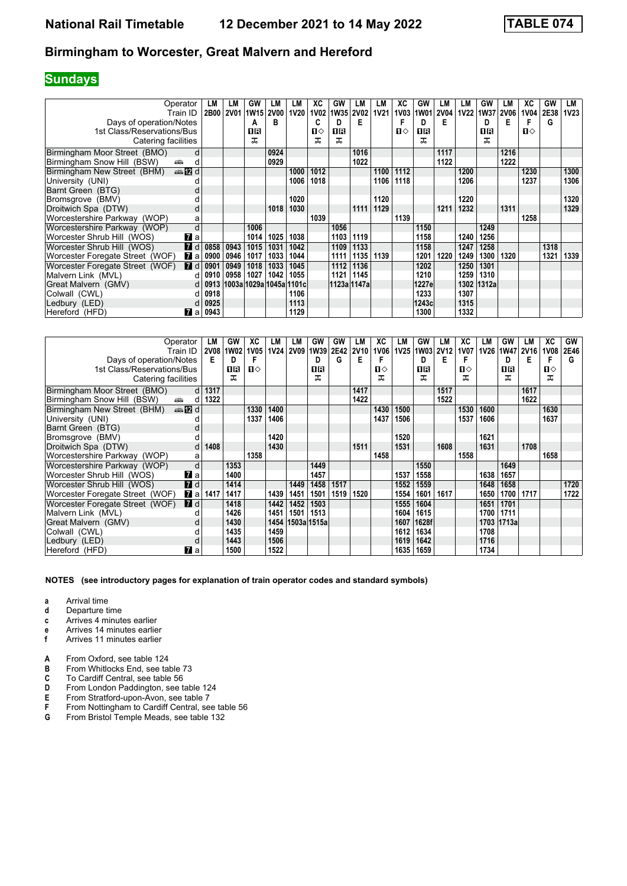## **Sundays**

| Operator<br>Train ID                                | LM<br>2B00           | LM<br><b>2V01</b> | GW<br>1W15 2V00         | LM   | LМ<br><b>1V20</b> | ХC<br><b>1V02</b> | GW<br>1W35 2V02 | LM          | LМ<br><b>1V21</b> | ХC<br><b>1V03</b> | GW<br><b>1W01</b> | LM<br><b>2V04</b> | LМ<br>1V22 | GW<br>1W37 | LM<br><b>2V06</b> | XC<br>1V04   | GW<br>2E38 | LM<br><b>1V23</b> |
|-----------------------------------------------------|----------------------|-------------------|-------------------------|------|-------------------|-------------------|-----------------|-------------|-------------------|-------------------|-------------------|-------------------|------------|------------|-------------------|--------------|------------|-------------------|
| Days of operation/Notes                             |                      |                   | А                       | в    |                   | C                 | n.              | E.          |                   |                   | D                 | Е                 |            | D          | Е                 |              | G          |                   |
| 1st Class/Reservations/Bus                          |                      |                   | 1R                      |      |                   | ்ப                | 0 B             |             |                   | $\mathbf{n}$      | 0 B               |                   |            | OR         |                   | $\mathbf{n}$ |            |                   |
| Catering facilities                                 |                      |                   | ᅚ                       |      |                   | ᠼ                 | ᠼ               |             |                   |                   | ㅈ                 |                   |            | ㅈ          |                   |              |            |                   |
| Birmingham Moor Street (BMO)                        | d                    |                   |                         | 0924 |                   |                   |                 | 1016        |                   |                   |                   | 1117              |            |            | 1216              |              |            |                   |
| Birmingham Snow Hill (BSW)<br>æ.                    | d                    |                   |                         | 0929 |                   |                   |                 | 1022        |                   |                   |                   | 1122              |            |            | 1222              |              |            |                   |
| <b>en 12</b> d<br>Birmingham New Street (BHM)       |                      |                   |                         |      | 1000              | 1012              |                 |             | 1100              | 1112              |                   |                   | 1200       |            |                   | 1230         |            | 1300              |
| University (UNI)                                    |                      |                   |                         |      | 1006              | 1018              |                 |             | 1106              | 1118              |                   |                   | 1206       |            |                   | 1237         |            | 1306              |
| Barnt Green (BTG)                                   |                      |                   |                         |      |                   |                   |                 |             |                   |                   |                   |                   |            |            |                   |              |            |                   |
| Bromsgrove (BMV)                                    |                      |                   |                         |      | 1020              |                   |                 |             | 1120              |                   |                   |                   | 1220       |            |                   |              |            | 1320              |
| Droitwich Spa (DTW)                                 | a                    |                   |                         | 1018 | 1030              |                   |                 | 1111        | 1129              |                   |                   | 1211              | 1232       |            | 1311              |              |            | 1329              |
| Worcestershire Parkway (WOP)                        | a                    |                   |                         |      |                   | 1039              |                 |             |                   | 1139              |                   |                   |            |            |                   | 1258         |            |                   |
| Worcestershire Parkway (WOP)                        | d                    |                   | 1006                    |      |                   |                   | 1056            |             |                   |                   | 1150              |                   |            | 1249       |                   |              |            |                   |
| Worcester Shrub Hill (WOS)<br><b>77</b> а           |                      |                   | 1014                    | 1025 | 1038              |                   | 1103            | 1119        |                   |                   | 1158              |                   | 1240       | 1256       |                   |              |            |                   |
| 7d<br>Worcester Shrub Hill (WOS)                    | 0858                 | 0943              | 1015                    | 1031 | 1042              |                   | 1109            | 1133        |                   |                   | 1158              |                   | 1247       | 1258       |                   |              | 1318       |                   |
| Worcester Foregate Street (WOF)<br><b>7</b> а       | 0900                 | 0946              | 1017                    | 1033 | 1044              |                   | 1111            | 1135        | 1139              |                   | 1201              | 1220              | 1249       | 1300       | 1320              |              | 1321       | 1339              |
| $\blacksquare$ d<br>Worcester Foregate Street (WOF) | 0901                 | 0949              | 1018                    | 1033 | 1045              |                   | 1112            | 1136        |                   |                   | 1202              |                   | 1250       | 1301       |                   |              |            |                   |
| Malvern Link (MVL)                                  | 0910<br>d            | 0958              | 1027                    | 1042 | 1055              |                   | 1121            | 1145        |                   |                   | 1210              |                   | 1259       | 1310       |                   |              |            |                   |
| Great Malvern (GMV)                                 | 0913<br><sub>d</sub> |                   | 1003a 1029a 1045a 1101c |      |                   |                   |                 | 1123a 1147a |                   |                   | 1227e             |                   |            | 1302 1312a |                   |              |            |                   |
| Colwall (CWL)                                       | 0918<br>d            |                   |                         |      | 1106              |                   |                 |             |                   |                   | 1233              |                   | 1307       |            |                   |              |            |                   |
| Ledbury (LED)                                       | 0925<br>d            |                   |                         |      | 1113              |                   |                 |             |                   |                   | 1243c             |                   | 1315       |            |                   |              |            |                   |
| Hereford (HFD)<br><b>7</b> al                       | 0943                 |                   |                         |      | 1129              |                   |                 |             |                   |                   | 1300              |                   | 1332       |            |                   |              |            |                   |

| Operator<br>Train ID                                                                                                                                                                                                                                             | LM<br>2V08 | GW<br>1W02 | ХC<br>1V05 | LМ<br><b>1V24</b> | LM<br>2V09       | GW<br>1W39 | <b>GW</b><br>2E42 | LM<br><b>2V10</b> | XC<br>1V06   | LM<br>1V <sub>25</sub> | GW<br>1W03 | LM<br><b>2V12</b> | XC<br><b>1V07</b> | LM<br>1V26 | GW         | LM<br>1W47 2V16 | ХC<br><b>1V08</b> | <b>GW</b><br>2E46 |
|------------------------------------------------------------------------------------------------------------------------------------------------------------------------------------------------------------------------------------------------------------------|------------|------------|------------|-------------------|------------------|------------|-------------------|-------------------|--------------|------------------------|------------|-------------------|-------------------|------------|------------|-----------------|-------------------|-------------------|
| Days of operation/Notes                                                                                                                                                                                                                                          | Е          | D          | F          |                   |                  | D          | G                 | E                 | F            |                        | D          | Е                 | F                 |            | D          | E               | F                 | G                 |
| 1st Class/Reservations/Bus                                                                                                                                                                                                                                       |            | 1R         | п⇔         |                   |                  | 1 R        |                   |                   | $\mathbf{u}$ |                        | 0 R        |                   | ப⇔                |            | 1 R        |                 | п⇔                |                   |
| Catering facilities                                                                                                                                                                                                                                              |            | ᅚ          |            |                   |                  | ᅚ          |                   |                   | ᠼ            |                        | ㅈ          |                   | ᅚ                 |            | ᅚ          |                 | ᠼ                 |                   |
|                                                                                                                                                                                                                                                                  |            |            |            |                   |                  |            |                   |                   |              |                        |            |                   |                   |            |            |                 |                   |                   |
| Birmingham Moor Street (BMO)                                                                                                                                                                                                                                     | 1317<br>d  |            |            |                   |                  |            |                   | 1417              |              |                        |            | 1517              |                   |            |            | 1617            |                   |                   |
| Birmingham Snow Hill (BSW)<br>and and some of the set of the set of the set of the set of the set of the set of the set of the set of the set of the set of the set of the set of the set of the set of the set of the set of the set of the set of the set<br>d | 1322       |            |            |                   |                  |            |                   | 1422              |              |                        |            | 1522              |                   |            |            | 1622            |                   |                   |
| <b>en 12</b> d<br>Birmingham New Street (BHM)                                                                                                                                                                                                                    |            |            | 1330       | 1400              |                  |            |                   |                   | 1430         | 1500                   |            |                   | 1530              | 1600       |            |                 | 1630              |                   |
| University (UNI)                                                                                                                                                                                                                                                 |            |            | 1337       | 1406              |                  |            |                   |                   | 1437         | 1506                   |            |                   | 1537              | 1606       |            |                 | 1637              |                   |
| Barnt Green (BTG)                                                                                                                                                                                                                                                |            |            |            |                   |                  |            |                   |                   |              |                        |            |                   |                   |            |            |                 |                   |                   |
| Bromsgrove (BMV)                                                                                                                                                                                                                                                 |            |            |            | 1420              |                  |            |                   |                   |              | 1520                   |            |                   |                   | 1621       |            |                 |                   |                   |
| Droitwich Spa (DTW)<br>d                                                                                                                                                                                                                                         | 1408       |            |            | 1430              |                  |            |                   | 1511              |              | 1531                   |            | 1608              |                   | 1631       |            | 1708            |                   |                   |
| Worcestershire Parkway (WOP)<br>a                                                                                                                                                                                                                                |            |            | 1358       |                   |                  |            |                   |                   | 1458         |                        |            |                   | 1558              |            |            |                 | 1658              |                   |
| Worcestershire Parkway (WOP)<br>d                                                                                                                                                                                                                                |            | 1353       |            |                   |                  | 1449       |                   |                   |              |                        | 1550       |                   |                   |            | 1649       |                 |                   |                   |
| Worcester Shrub Hill (WOS)<br><b>7</b> a                                                                                                                                                                                                                         |            | 1400       |            |                   |                  | 1457       |                   |                   |              | 1537                   | 1558       |                   |                   | 1638       | 1657       |                 |                   |                   |
| 7d<br>Worcester Shrub Hill (WOS)                                                                                                                                                                                                                                 |            | 1414       |            |                   | 1449             | 1458       | 1517              |                   |              | 1552                   | 1559       |                   |                   | 1648       | 1658       |                 |                   | 1720              |
| $\mathbf{z}$ a<br>Worcester Foregate Street (WOF)                                                                                                                                                                                                                | 1417       | 1417       |            | 1439              | 1451             | 1501       | 1519              | 1520              |              | 1554                   | 1601       | 1617              |                   | 1650       | 1700       | 1717            |                   | 1722              |
| <b>7</b> d<br>Worcester Foregate Street (WOF)                                                                                                                                                                                                                    |            | 1418       |            | 1442              | 1452             | 1503       |                   |                   |              | 1555                   | 1604       |                   |                   | 1651       | 1701       |                 |                   |                   |
| Malvern Link (MVL)                                                                                                                                                                                                                                               |            | 1426       |            | 1451              | 1501             | 1513       |                   |                   |              | 1604                   | 1615       |                   |                   | 1700       | 1711       |                 |                   |                   |
| Great Malvern (GMV)                                                                                                                                                                                                                                              |            | 1430       |            |                   | 1454 1503a 1515a |            |                   |                   |              | 1607                   | 1628f      |                   |                   |            | 1703 1713a |                 |                   |                   |
| Colwall (CWL)                                                                                                                                                                                                                                                    |            | 1435       |            | 1459              |                  |            |                   |                   |              | 1612                   | 1634       |                   |                   | 1708       |            |                 |                   |                   |
| Ledbury (LED)                                                                                                                                                                                                                                                    |            | 1443       |            | 1506              |                  |            |                   |                   |              | 1619                   | 1642       |                   |                   | 1716       |            |                 |                   |                   |
| Hereford (HFD)<br>$\mathbf{z}$ a                                                                                                                                                                                                                                 |            | 1500       |            | 1522              |                  |            |                   |                   |              | 1635                   | 1659       |                   |                   | 1734       |            |                 |                   |                   |

- **a** Arrival time
- **d** Departure time<br>**c** Arrives 4 minut
- **c** Arrives 4 minutes earlier
- **e** Arrives 14 minutes earlier<br>**f** Arrives 11 minutes earlier
- **f** Arrives 11 minutes earlier
- **A** From Oxford, see table 124<br>**B** From Whitlocks End, see tal
- **B** From Whitlocks End, see table 73<br>**C** To Cardiff Central, see table 56
- **C** To Cardiff Central, see table 56<br>**D** From London Paddington, see t
- **D** From London Paddington, see table 124<br>**E** From Stratford-upon-Avon, see table 7
- **E** From Stratford-upon-Avon, see table 7
- **F** From Nottingham to Cardiff Central, see table 56
- **6** From Bristol Temple Meads, see table 132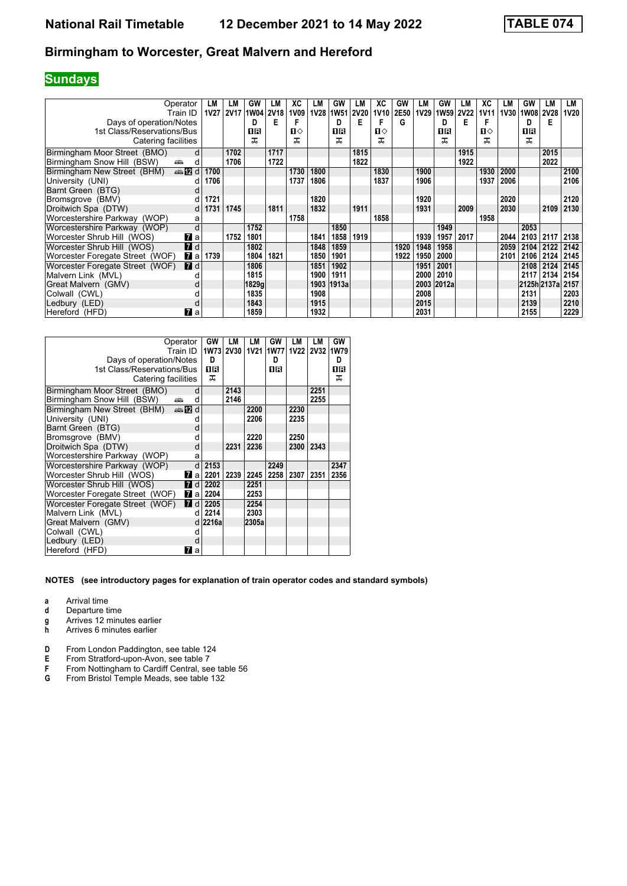## **Sundays**

| Operator<br>Train ID                              | LM<br>1V27 | LM<br><b>2V17</b> | GW<br>1W04 2V18 | LМ   | ХC<br>1V09   | LM   | GW<br>1V28 1W51 | LM<br><b>2V20</b> | XC<br>1V10 | GW<br>2E50 | LМ<br>1V29 | GW<br>1W <sub>59</sub> | LМ<br><b>2V22</b> | ХC<br>1V11 | LM   | GW<br>1V30 1W08 | LM<br><b>2V28</b> | LM<br>1V20 |
|---------------------------------------------------|------------|-------------------|-----------------|------|--------------|------|-----------------|-------------------|------------|------------|------------|------------------------|-------------------|------------|------|-----------------|-------------------|------------|
| Days of operation/Notes                           |            |                   | D               | Е    |              |      | D               | Е                 |            | G          |            | D.                     | Е                 |            |      | D               | Е                 |            |
| 1st Class/Reservations/Bus                        |            |                   | 1 R             |      | $\mathbf{u}$ |      | 1 R             |                   | $\Pi$      |            |            | ПR                     |                   | п⇔         |      | OR              |                   |            |
| Catering facilities                               |            |                   | ᠼ               |      | ᠼ            |      | ᠼ               |                   | ㅈ          |            |            | ㅈ                      |                   | ᅚ          |      | ㅈ               |                   |            |
| Birmingham Moor Street (BMO)                      | d          | 1702              |                 | 1717 |              |      |                 | 1815              |            |            |            |                        | 1915              |            |      |                 | 2015              |            |
| Birmingham Snow Hill (BSW)<br>پیش<br>d            |            | 1706              |                 | 1722 |              |      |                 | 1822              |            |            |            |                        | 1922              |            |      |                 | 2022              |            |
| <b>▲IZd</b><br>Birmingham New Street (BHM)        | 1700       |                   |                 |      | 1730         | 1800 |                 |                   | 1830       |            | 1900       |                        |                   | 1930       | 2000 |                 |                   | 2100       |
| University (UNI)                                  | 1706       |                   |                 |      | 1737         | 1806 |                 |                   | 1837       |            | 1906       |                        |                   | 1937       | 2006 |                 |                   | 2106       |
| Barnt Green (BTG)                                 |            |                   |                 |      |              |      |                 |                   |            |            |            |                        |                   |            |      |                 |                   |            |
| Bromsgrove (BMV)                                  | 1721<br>d  |                   |                 |      |              | 1820 |                 |                   |            |            | 1920       |                        |                   |            | 2020 |                 |                   | 2120       |
| Droitwich Spa (DTW)                               | 1731<br>d  | 1745              |                 | 1811 |              | 1832 |                 | 1911              |            |            | 1931       |                        | 2009              |            | 2030 |                 | 2109              | 2130       |
| Worcestershire Parkway (WOP)<br>a                 |            |                   |                 |      | 1758         |      |                 |                   | 1858       |            |            |                        |                   | 1958       |      |                 |                   |            |
| d<br>Worcestershire Parkway (WOP)                 |            |                   | 1752            |      |              |      | 1850            |                   |            |            |            | 1949                   |                   |            |      | 2053            |                   |            |
| Worcester Shrub Hill (WOS)<br>$\mathbf{z}$ a      |            | 1752              | 1801            |      |              | 1841 | 1858            | 1919              |            |            | 1939       | 1957                   | 2017              |            | 2044 |                 | 2103 2117         | 2138       |
| 7d<br>Worcester Shrub Hill (WOS)                  |            |                   | 1802            |      |              | 1848 | 1859            |                   |            | 1920       | 1948       | 1958                   |                   |            | 2059 | 2104            | 2122              | 2142       |
| Worcester Foregate Street (WOF)<br>$\mathbf{z}$ a | 1739       |                   | 1804            | 1821 |              | 1850 | 1901            |                   |            | 1922       | 1950       | 2000                   |                   |            | 2101 | 2106            | 2124              | 2145       |
| <b>7</b> d<br>Worcester Foregate Street (WOF)     |            |                   | 1806            |      |              | 1851 | 1902            |                   |            |            | 1951       | 2001                   |                   |            |      | 2108            | 2124              | 2145       |
| Malvern Link (MVL)                                |            |                   | 1815            |      |              | 1900 | 1911            |                   |            |            | 2000       | 2010                   |                   |            |      | 2117            | 2134              | 2154       |
| Great Malvern (GMV)                               |            |                   | 1829g           |      |              |      | 1903 1913a      |                   |            |            |            | 2003 2012a             |                   |            |      |                 | 2125h 2137a       | 2157       |
| Colwall (CWL)                                     |            |                   | 1835            |      |              | 1908 |                 |                   |            |            | 2008       |                        |                   |            |      | 2131            |                   | 2203       |
| Ledbury (LED)                                     |            |                   | 1843            |      |              | 1915 |                 |                   |            |            | 2015       |                        |                   |            |      | 2139            |                   | 2210       |
| $\mathbf{z}$ a<br>Hereford (HFD)                  |            |                   | 1859            |      |              | 1932 |                 |                   |            |            | 2031       |                        |                   |            |      | 2155            |                   | 2229       |

| Operator<br>Train ID                                      | GW         | LМ<br>1W73 2V30 | LМ    | GW<br>1V21   1W77   1V22 | LМ   | LМ<br>2V32 | GW<br>1W79 |
|-----------------------------------------------------------|------------|-----------------|-------|--------------------------|------|------------|------------|
| Days of operation/Notes                                   | D          |                 |       | D                        |      |            | D          |
| 1st Class/Reservations/Bus                                | 1R         |                 |       | 1R                       |      |            | 0 R        |
| Catering facilities                                       | ᅚ          |                 |       |                          |      |            | ᅚ          |
| Birmingham Moor Street (BMO)<br>d                         |            | 2143            |       |                          |      | 2251       |            |
| Birmingham Snow Hill (BSW)<br>aîn<br>d                    |            | 2146            |       |                          |      | 2255       |            |
| Birmingham New Street (BHM)<br>$\oplus$ $\mathbb{Z}$<br>d |            |                 | 2200  |                          | 2230 |            |            |
| University (UNI)<br>U                                     |            |                 | 2206  |                          | 2235 |            |            |
| Barnt Green (BTG)<br>d                                    |            |                 |       |                          |      |            |            |
| Bromsgrove (BMV)<br>d                                     |            |                 | 2220  |                          | 2250 |            |            |
| Droitwich Spa (DTW)<br>d                                  |            | 2231            | 2236  |                          | 2300 | 2343       |            |
| Worcestershire Parkway (WOP)                              | a          |                 |       |                          |      |            |            |
| Worcestershire Parkway (WOP)                              | d<br>2153  |                 |       | 2249                     |      |            | 2347       |
| Worcester Shrub Hill (WOS)<br><b>7</b> lal                | 2201       | 2239            | 2245  | 2258                     | 2307 | 2351       | 2356       |
| <b>7</b> d<br>Worcester Shrub Hill (WOS)                  | 2202       |                 | 2251  |                          |      |            |            |
| Worcester Foregate Street (WOF)<br><b>7</b> al            | 2204       |                 | 2253  |                          |      |            |            |
| Worcester Foregate Street (WOF)<br>17<br>d                | 2205       |                 | 2254  |                          |      |            |            |
| Malvern Link (MVL)<br>d                                   | 2214       |                 | 2303  |                          |      |            |            |
| Great Malvern (GMV)                                       | 2216a<br>d |                 | 2305a |                          |      |            |            |
| Colwall (CWL)<br>d                                        |            |                 |       |                          |      |            |            |
| Ledbury (LED)<br>d                                        |            |                 |       |                          |      |            |            |
| Hereford (HFD)<br>7<br>a                                  |            |                 |       |                          |      |            |            |

- **a** Arrival time
- **d** Departure time
- **g** Arrives 12 minutes earlier<br>**h** Arrives 6 minutes earlier
- **K** Arrives 6 minutes earlier
- **D** From London Paddington, see table 124<br>**E** From Stratford-upon-Avon, see table 7
- **E** From Stratford-upon-Avon, see table 7
- **F** From Nottingham to Cardiff Central, see table 56
- **6** From Bristol Temple Meads, see table 132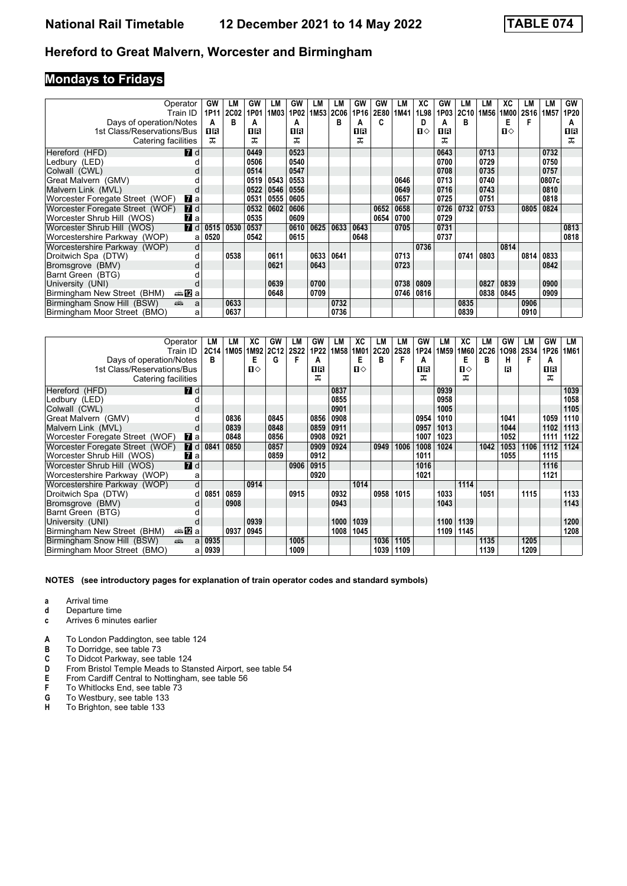# **Mondays to Fridays**

| Operator                                            | <b>GW</b> | LM   | GW   | LM   | GW   | LМ               | LM          | <b>GW</b> | GW   | LM   | ХC   | GW   | LM          | LM   | ХC   | LМ   | LМ                | GW   |
|-----------------------------------------------------|-----------|------|------|------|------|------------------|-------------|-----------|------|------|------|------|-------------|------|------|------|-------------------|------|
| Train ID                                            | 1P11      | 2C02 | 1P01 | 1M03 | 1P02 | 1M <sub>53</sub> | <b>2C06</b> | 1P16      | 2E80 | 1M41 | 1L98 | 1P03 | <b>2C10</b> | 1M56 | 1M00 | 2S16 | 1M <sub>5</sub> 7 | 1P20 |
| Days of operation/Notes                             | A         | В    | A    |      | A    |                  | в           | А         | c    |      | D    | А    | B           |      | Е    | F    |                   | A    |
| 1st Class/Reservations/Bus                          | 1 R       |      | 1 R  |      | ПR   |                  |             | 1 R       |      |      | ்ப   | 0 B  |             |      | Ⅱ♦   |      |                   | 1 R  |
| Catering facilities                                 | ᠼ         |      | ᠼ    |      | ᇁ    |                  |             | ᠼ         |      |      |      |      |             |      |      |      |                   | 굾    |
| <b>7</b> d<br>Hereford (HFD)                        |           |      | 0449 |      | 0523 |                  |             |           |      |      |      | 0643 |             | 0713 |      |      | 0732              |      |
| Ledbury (LED)                                       |           |      | 0506 |      | 0540 |                  |             |           |      |      |      | 0700 |             | 0729 |      |      | 0750              |      |
| Colwall (CWL)                                       |           |      | 0514 |      | 0547 |                  |             |           |      |      |      | 0708 |             | 0735 |      |      | 0757              |      |
| Great Malvern (GMV)                                 |           |      | 0519 | 0543 | 0553 |                  |             |           |      | 0646 |      | 0713 |             | 0740 |      |      | 0807c             |      |
| Malvern Link (MVL)                                  |           |      | 0522 | 0546 | 0556 |                  |             |           |      | 0649 |      | 0716 |             | 0743 |      |      | 0810              |      |
| Worcester Foregate Street (WOF)<br>$\mathbf{z}$ a   |           |      | 0531 | 0555 | 0605 |                  |             |           |      | 0657 |      | 0725 |             | 0751 |      |      | 0818              |      |
| $\blacksquare$ d<br>Worcester Foregate Street (WOF) |           |      | 0532 | 0602 | 0606 |                  |             |           | 0652 | 0658 |      | 0726 | 0732        | 0753 |      | 0805 | 0824              |      |
| $\mathbf{z}$ a<br>Worcester Shrub Hill (WOS)        |           |      | 0535 |      | 0609 |                  |             |           | 0654 | 0700 |      | 0729 |             |      |      |      |                   |      |
| 7d<br>Worcester Shrub Hill (WOS)                    | 0515      | 0530 | 0537 |      | 0610 | 0625             | 0633        | 0643      |      | 0705 |      | 0731 |             |      |      |      |                   | 0813 |
| Worcestershire Parkway (WOP)<br>a                   | 0520      |      | 0542 |      | 0615 |                  |             | 0648      |      |      |      | 0737 |             |      |      |      |                   | 0818 |
| Worcestershire Parkway (WOP)<br>d                   |           |      |      |      |      |                  |             |           |      |      | 0736 |      |             |      | 0814 |      |                   |      |
| Droitwich Spa (DTW)<br>d                            |           | 0538 |      | 0611 |      | 0633             | 0641        |           |      | 0713 |      |      | 0741        | 0803 |      | 0814 | 0833              |      |
| Bromsgrove (BMV)                                    |           |      |      | 0621 |      | 0643             |             |           |      | 0723 |      |      |             |      |      |      | 0842              |      |
| Barnt Green (BTG)                                   |           |      |      |      |      |                  |             |           |      |      |      |      |             |      |      |      |                   |      |
| University (UNI)                                    |           |      |      | 0639 |      | 0700             |             |           |      | 0738 | 0809 |      |             | 0827 | 0839 |      | 0900              |      |
| — 12Ba<br>Birmingham New Street (BHM)               |           |      |      | 0648 |      | 0709             |             |           |      | 0746 | 0816 |      |             | 0838 | 0845 |      | 0909              |      |
| Birmingham Snow Hill (BSW)<br><b>Report</b><br>a    |           | 0633 |      |      |      |                  | 0732        |           |      |      |      |      | 0835        |      |      | 0906 |                   |      |
| Birmingham Moor Street (BMO)<br>a                   |           | 0637 |      |      |      |                  | 0736        |           |      |      |      |      | 0839        |      |      | 0910 |                   |      |

| Operator                                          | LM        | LM   | ХC           | GW   | LM          | GW   | LM               | XC   | LM   | LМ          | GW   | LM               | ХC           | LM   | GW   | LM          | GW   | LМ   |
|---------------------------------------------------|-----------|------|--------------|------|-------------|------|------------------|------|------|-------------|------|------------------|--------------|------|------|-------------|------|------|
| Train ID                                          | 2C14      | 1M05 | <b>IM92</b>  | 2C12 | <b>2S22</b> | 1P22 | 1M <sub>58</sub> | 1M01 | 2C20 | <b>2S28</b> | 1P24 | 1M <sub>59</sub> | 1M60         | 2C26 | 1098 | <b>2S34</b> | 1P26 | 1M61 |
| Days of operation/Notes                           | в         |      | Е            | G    | F           | А    |                  | Е    | в    | F           | A    |                  | Е            | в    | н    |             | А    |      |
| 1st Class/Reservations/Bus                        |           |      | $\mathbf{u}$ |      |             | 1 R  |                  | ப⇔   |      |             | 0 R  |                  | $\mathbf{u}$ |      | R    |             | 0 R  |      |
| Catering facilities                               |           |      |              |      |             | ᅚ    |                  |      |      |             | ᠼ    |                  | ᅚ            |      |      |             | ᅚ    |      |
| <b>7</b> d<br>Hereford (HFD)                      |           |      |              |      |             |      | 0837             |      |      |             |      | 0939             |              |      |      |             |      | 1039 |
| Ledbury (LED)                                     |           |      |              |      |             |      | 0855             |      |      |             |      | 0958             |              |      |      |             |      | 1058 |
| Colwall (CWL)                                     |           |      |              |      |             |      | 0901             |      |      |             |      | 1005             |              |      |      |             |      | 1105 |
| Great Malvern (GMV)                               |           | 0836 |              | 0845 |             | 0856 | 0908             |      |      |             | 0954 | 1010             |              |      | 1041 |             | 1059 | 1110 |
| Malvern Link (MVL)                                |           | 0839 |              | 0848 |             | 0859 | 0911             |      |      |             | 0957 | 1013             |              |      | 1044 |             | 1102 | 1113 |
| Worcester Foregate Street (WOF)<br>$\mathbf{z}$ a |           | 0848 |              | 0856 |             | 0908 | 0921             |      |      |             | 1007 | 1023             |              |      | 1052 |             | 1111 | 1122 |
| <b>7</b> d<br>Worcester Foregate Street (WOF)     | 0841      | 0850 |              | 0857 |             | 0909 | 0924             |      | 0949 | 1006        | 1008 | 1024             |              | 1042 | 1053 | 1106        | 1112 | 1124 |
| Worcester Shrub Hill (WOS)<br>$\mathbf{z}$ a      |           |      |              | 0859 |             | 0912 |                  |      |      |             | 1011 |                  |              |      | 1055 |             | 1115 |      |
| $\blacksquare$ d<br>Worcester Shrub Hill (WOS)    |           |      |              |      | 0906        | 0915 |                  |      |      |             | 1016 |                  |              |      |      |             | 1116 |      |
| Worcestershire Parkway (WOP)                      | a         |      |              |      |             | 0920 |                  |      |      |             | 1021 |                  |              |      |      |             | 1121 |      |
| Worcestershire Parkway (WOP)                      | d         |      | 0914         |      |             |      |                  | 1014 |      |             |      |                  | 1114         |      |      |             |      |      |
| Droitwich Spa (DTW)                               | 0851<br>d | 0859 |              |      | 0915        |      | 0932             |      | 0958 | 1015        |      | 1033             |              | 1051 |      | 1115        |      | 1133 |
| Bromsgrove (BMV)                                  |           | 0908 |              |      |             |      | 0943             |      |      |             |      | 1043             |              |      |      |             |      | 1143 |
| Barnt Green (BTG)                                 |           |      |              |      |             |      |                  |      |      |             |      |                  |              |      |      |             |      |      |
| University (UNI)                                  |           |      | 0939         |      |             |      | 1000             | 1039 |      |             |      | 1100             | 1139         |      |      |             |      | 1200 |
| ⇔an⊠a<br>Birmingham New Street (BHM)              |           | 0937 | 0945         |      |             |      | 1008             | 1045 |      |             |      | 1109             | 1145         |      |      |             |      | 1208 |
| Birmingham Snow Hill (BSW)<br>añ.                 | 0935<br>a |      |              |      | 1005        |      |                  |      | 1036 | 1105        |      |                  |              | 1135 |      | 1205        |      |      |
| Birmingham Moor Street (BMO)                      | 0939<br>а |      |              |      | 1009        |      |                  |      | 1039 | 1109        |      |                  |              | 1139 |      | 1209        |      |      |

- **a** Arrival time
- **d** Departure time<br>**c** Arrives 6 minut
- **c** Arrives 6 minutes earlier
- **A** To London Paddington, see table 124<br>**B** To Dorridge, see table 73
- **B** To Dorridge, see table 73<br>**C** To Didcot Parkway, see ta
- **C** To Didcot Parkway, see table 124
- **D** From Bristol Temple Meads to Stansted Airport, see table 54
- **E** From Cardiff Central to Nottingham, see table 56<br>**F** To Whitlocks End, see table 73
- **F** To Whitlocks End, see table  $\overline{73}$ <br>**G** To Westbury, see table 133
- **G** To Westbury, see table 133
- **H** To Brighton, see table 133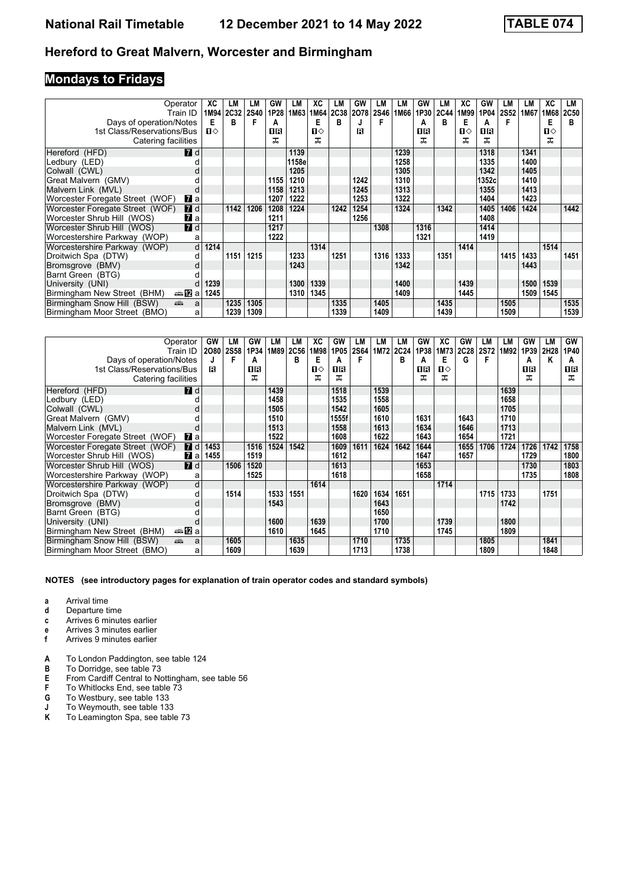## **Mondays to Fridays**

| Operator<br>Train ID                                                                                                                                                                                                                                              | ХC           | LM<br>1M94 2C32 | LM<br><b>2S40</b> | GW<br>1P28 | LM<br>1M63 | ХC<br>1M64   | LM<br><b>2C38</b> | GW<br>2078 | LM<br><b>2S46</b> | LM<br>1M66 | GW<br>1P30 | LM<br><b>2C44</b> | XC<br>1M99 | GW<br>1P04 | LM<br><b>2S52</b> | LM<br>1M67 | ХC<br>1M68   | LM<br><b>2C50</b> |
|-------------------------------------------------------------------------------------------------------------------------------------------------------------------------------------------------------------------------------------------------------------------|--------------|-----------------|-------------------|------------|------------|--------------|-------------------|------------|-------------------|------------|------------|-------------------|------------|------------|-------------------|------------|--------------|-------------------|
| Days of operation/Notes                                                                                                                                                                                                                                           | Е            | в               | F                 | А          |            | Е            | в                 |            |                   |            | A          | в                 | Е          | А          | F                 |            | Е            | в                 |
| 1st Class/Reservations/Bus                                                                                                                                                                                                                                        | $\mathbf{u}$ |                 |                   | OR         |            | $\mathbf{n}$ |                   | R          |                   |            | ПR         |                   | п⇔         | OR         |                   |            | $\mathbf{n}$ |                   |
| Catering facilities                                                                                                                                                                                                                                               |              |                 |                   | ᠼ          |            | ᅚ            |                   |            |                   |            | ᅚ          |                   | ᠼ          | ᅚ          |                   |            | ᅚ            |                   |
| <b>7</b> d<br>Hereford (HFD)                                                                                                                                                                                                                                      |              |                 |                   |            | 1139       |              |                   |            |                   | 1239       |            |                   |            | 1318       |                   | 1341       |              |                   |
| Ledbury (LED)                                                                                                                                                                                                                                                     |              |                 |                   |            | 1158e      |              |                   |            |                   | 1258       |            |                   |            | 1335       |                   | 1400       |              |                   |
| Colwall (CWL)                                                                                                                                                                                                                                                     |              |                 |                   |            | 1205       |              |                   |            |                   | 1305       |            |                   |            | 1342       |                   | 1405       |              |                   |
| Great Malvern (GMV)                                                                                                                                                                                                                                               |              |                 |                   | 1155       | 1210       |              |                   | 1242       |                   | 1310       |            |                   |            | 1352c      |                   | 1410       |              |                   |
| Malvern Link (MVL)                                                                                                                                                                                                                                                |              |                 |                   | 1158       | 1213       |              |                   | 1245       |                   | 1313       |            |                   |            | 1355       |                   | 1413       |              |                   |
| Worcester Foregate Street (WOF)<br>$\mathbf{z}$ a                                                                                                                                                                                                                 |              |                 |                   | 1207       | 1222       |              |                   | 1253       |                   | 1322       |            |                   |            | 1404       |                   | 1423       |              |                   |
| <b>7</b> d<br>Worcester Foregate Street (WOF)                                                                                                                                                                                                                     |              | 1142            | 1206              | 1208       | 1224       |              | 1242              | 1254       |                   | 1324       |            | 1342              |            | 1405       | 1406              | 1424       |              | 1442              |
| $\mathbf{z}$ a<br>Worcester Shrub Hill (WOS)                                                                                                                                                                                                                      |              |                 |                   | 1211       |            |              |                   | 1256       |                   |            |            |                   |            | 1408       |                   |            |              |                   |
| 7d<br>Worcester Shrub Hill (WOS)                                                                                                                                                                                                                                  |              |                 |                   | 1217       |            |              |                   |            | 1308              |            | 1316       |                   |            | 1414       |                   |            |              |                   |
| Worcestershire Parkway (WOP)<br>a                                                                                                                                                                                                                                 |              |                 |                   | 1222       |            |              |                   |            |                   |            | 1321       |                   |            | 1419       |                   |            |              |                   |
| d<br>Worcestershire Parkway (WOP)                                                                                                                                                                                                                                 | 1214         |                 |                   |            |            | 1314         |                   |            |                   |            |            |                   | 1414       |            |                   |            | 1514         |                   |
| Droitwich Spa (DTW)<br>d                                                                                                                                                                                                                                          |              | 1151            | 1215              |            | 1233       |              | 1251              |            | 1316              | 1333       |            | 1351              |            |            | 1415              | 1433       |              | 1451              |
| Bromsgrove (BMV)                                                                                                                                                                                                                                                  |              |                 |                   |            | 1243       |              |                   |            |                   | 1342       |            |                   |            |            |                   | 1443       |              |                   |
| Barnt Green (BTG)                                                                                                                                                                                                                                                 |              |                 |                   |            |            |              |                   |            |                   |            |            |                   |            |            |                   |            |              |                   |
| University (UNI)                                                                                                                                                                                                                                                  | 1239         |                 |                   |            | 1300       | 1339         |                   |            |                   | 1400       |            |                   | 1439       |            |                   | 1500       | 1539         |                   |
| ⊯a Dal<br>Birmingham New Street (BHM)                                                                                                                                                                                                                             | 1245         |                 |                   |            | 1310       | 1345         |                   |            |                   | 1409       |            |                   | 1445       |            |                   | 1509       | 1545         |                   |
| Birmingham Snow Hill (BSW)<br>and the second second second second second second second second second second second second second second second second second second second second second second second second second second second second second second seco<br>a |              | 1235            | 1305              |            |            |              | 1335              |            | 1405              |            |            | 1435              |            |            | 1505              |            |              | 1535              |
| Birmingham Moor Street (BMO)<br>a                                                                                                                                                                                                                                 |              | 1239            | 1309              |            |            |              | 1339              |            | 1409              |            |            | 1439              |            |            | 1509              |            |              | 1539              |

| Operator<br>Train ID                           | GW<br>2080 | LM<br><b>2S58</b> | GW<br>1P34 | LM<br>1M89 | LМ<br><b>2C56</b> | ХC<br>1M98 | GW<br>1P05 | LM<br>2S64 | LМ<br>1M72 | LМ<br>2C24 | GW<br>1P38 | ХC<br>1M73 | GW<br><b>2C28</b> | LM<br>2S72 | LМ<br>1M92 | GW<br>1P39 | LM<br>2H28 | GW<br>1P40 |
|------------------------------------------------|------------|-------------------|------------|------------|-------------------|------------|------------|------------|------------|------------|------------|------------|-------------------|------------|------------|------------|------------|------------|
| Days of operation/Notes                        | J          | F                 | A          |            | в                 | Е          | А          |            |            | в          | A          | Е          | G                 |            |            | А          | Κ          | A          |
| 1st Class/Reservations/Bus                     | R          |                   | 1R         |            |                   | ்ப         | 0 B        |            |            |            | 0 B        | ப⇔         |                   |            |            | 1 R        |            | 1 R        |
| Catering facilities                            |            |                   | ᅚ          |            |                   | ᠼ          | ᅚ          |            |            |            | ᠼ          | ᠼ          |                   |            |            | ᅚ          |            | ᠼ          |
| <b>7</b> d<br>Hereford (HFD)                   |            |                   |            | 1439       |                   |            | 1518       |            | 1539       |            |            |            |                   |            | 1639       |            |            |            |
| Ledbury (LED)                                  |            |                   |            | 1458       |                   |            | 1535       |            | 1558       |            |            |            |                   |            | 1658       |            |            |            |
| Colwall (CWL)                                  |            |                   |            | 1505       |                   |            | 1542       |            | 1605       |            |            |            |                   |            | 1705       |            |            |            |
| Great Malvern (GMV)                            |            |                   |            | 1510       |                   |            | 1555f      |            | 1610       |            | 1631       |            | 1643              |            | 1710       |            |            |            |
| Malvern Link (MVL)                             |            |                   |            | 1513       |                   |            | 1558       |            | 1613       |            | 1634       |            | 1646              |            | 1713       |            |            |            |
| Worcester Foregate Street (WOF)<br><b>77</b> а |            |                   |            | 1522       |                   |            | 1608       |            | 1622       |            | 1643       |            | 1654              |            | 1721       |            |            |            |
| $I$ d<br>Worcester Foregate Street (WOF)       | 1453       |                   | 1516       | 1524       | 1542              |            | 1609       | 1611       | 1624       | 1642       | 1644       |            | 1655              | 1706       | 1724       | 1726       | 1742       | 1758       |
| $\mathbf{z}$ a<br>Worcester Shrub Hill (WOS)   | 1455       |                   | 1519       |            |                   |            | 1612       |            |            |            | 1647       |            | 1657              |            |            | 1729       |            | 1800       |
| 7d<br>Worcester Shrub Hill (WOS)               |            | 1506              | 1520       |            |                   |            | 1613       |            |            |            | 1653       |            |                   |            |            | 1730       |            | 1803       |
| Worcestershire Parkway (WOP)<br>a              |            |                   | 1525       |            |                   |            | 1618       |            |            |            | 1658       |            |                   |            |            | 1735       |            | 1808       |
| Worcestershire Parkway (WOP)<br>d              |            |                   |            |            |                   | 1614       |            |            |            |            |            | 1714       |                   |            |            |            |            |            |
| Droitwich Spa (DTW)                            |            | 1514              |            | 1533       | 1551              |            |            | 1620       | 1634       | 1651       |            |            |                   | 1715       | 1733       |            | 1751       |            |
| Bromsgrove (BMV)                               |            |                   |            | 1543       |                   |            |            |            | 1643       |            |            |            |                   |            | 1742       |            |            |            |
| Barnt Green (BTG)                              |            |                   |            |            |                   |            |            |            | 1650       |            |            |            |                   |            |            |            |            |            |
| University (UNI)                               |            |                   |            | 1600       |                   | 1639       |            |            | 1700       |            |            | 1739       |                   |            | 1800       |            |            |            |
| ⊯anZa<br>Birmingham New Street (BHM)           |            |                   |            | 1610       |                   | 1645       |            |            | 1710       |            |            | 1745       |                   |            | 1809       |            |            |            |
| Birmingham Snow Hill (BSW)<br>پېښ<br>a         |            | 1605              |            |            | 1635              |            |            | 1710       |            | 1735       |            |            |                   | 1805       |            |            | 1841       |            |
| Birmingham Moor Street (BMO)<br>a              |            | 1609              |            |            | 1639              |            |            | 1713       |            | 1738       |            |            |                   | 1809       |            |            | 1848       |            |

- **a** Arrival time
- **d** Departure time<br>**c** Arrives 6 minut
- **c** Arrives 6 minutes earlier
- **e** Arrives 3 minutes earlier<br>**f** Arrives 9 minutes earlier
- **Arrives 9 minutes earlier**
- **A** To London Paddington, see table 124
- **B** To Dorridge, see table 73
- **E** From Cardiff Central to Nottingham, see table 56<br>**F** To Whitlocks End, see table 73
- **F** To Whitlocks End, see table  $\overline{73}$ <br>**G** To Westbury, see table 133
- **G** To Westbury, see table 133
- **J** To Weymouth, see table 133
- **K** To Leamington Spa, see table 73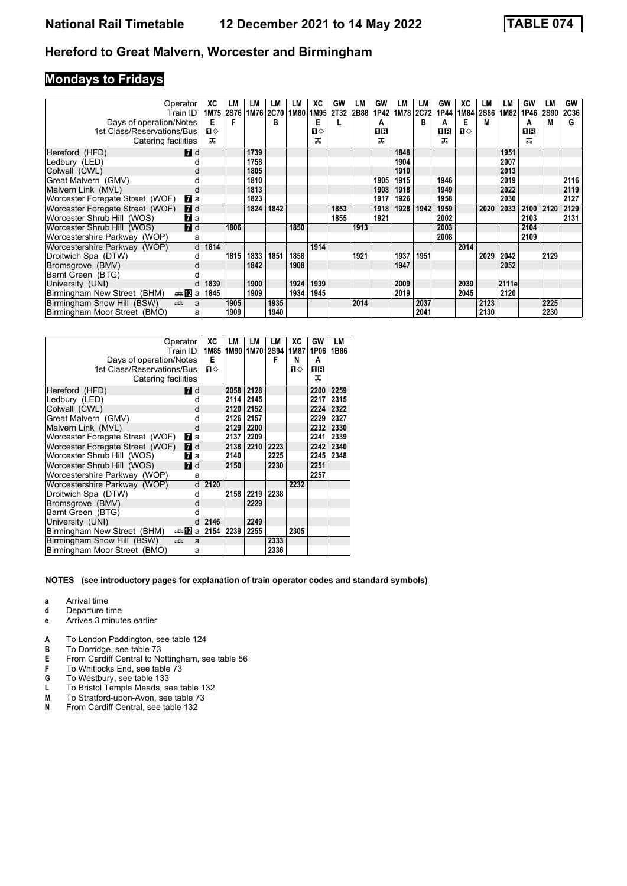## **Mondays to Fridays**

| Operator                                            | ХC           | LM          | LM        | LМ   | LM   | ХC   | GW               | LM   | GW   | LM   | LМ   | GW   | ХC           | LM          | LМ    | GW   | LМ          | GW          |
|-----------------------------------------------------|--------------|-------------|-----------|------|------|------|------------------|------|------|------|------|------|--------------|-------------|-------|------|-------------|-------------|
| Train ID                                            | 1M75         | <b>2S76</b> | 1M76 2C70 |      | 1M80 | 1M95 | 2T <sub>32</sub> | 2B88 | 1P42 | 1M78 | 2C72 | 1P44 | 1M84         | <b>2S86</b> | 1M82  | 1P46 | <b>2S90</b> | <b>2C36</b> |
| Days of operation/Notes                             | Е            | F           |           | в    |      | Е    |                  |      | А    |      | B    | A    | Е            | М           |       | А    | М           | G           |
| 1st Class/Reservations/Bus                          | $\mathbf{u}$ |             |           |      |      | ்ப   |                  |      | OR   |      |      | 0 B  | $\mathbf{u}$ |             |       | 1R   |             |             |
| Catering facilities                                 | ᠼ            |             |           |      |      | ᅚ    |                  |      | ᠼ    |      |      | ᅚ    |              |             |       | ㅈ    |             |             |
| <b>7</b> d<br>Hereford (HFD)                        |              |             | 1739      |      |      |      |                  |      |      | 1848 |      |      |              |             | 1951  |      |             |             |
| Ledbury (LED)                                       |              |             | 1758      |      |      |      |                  |      |      | 1904 |      |      |              |             | 2007  |      |             |             |
| Colwall (CWL)                                       |              |             | 1805      |      |      |      |                  |      |      | 1910 |      |      |              |             | 2013  |      |             |             |
| Great Malvern (GMV)                                 |              |             | 1810      |      |      |      |                  |      | 1905 | 1915 |      | 1946 |              |             | 2019  |      |             | 2116        |
| Malvern Link (MVL)<br>d                             |              |             | 1813      |      |      |      |                  |      | 1908 | 1918 |      | 1949 |              |             | 2022  |      |             | 2119        |
| Worcester Foregate Street (WOF)<br>$\mathbf{z}$ a   |              |             | 1823      |      |      |      |                  |      | 1917 | 1926 |      | 1958 |              |             | 2030  |      |             | 2127        |
| $\blacksquare$ d<br>Worcester Foregate Street (WOF) |              |             | 1824      | 1842 |      |      | 1853             |      | 1918 | 1928 | 1942 | 1959 |              | 2020        | 2033  | 2100 | 2120        | 2129        |
| Worcester Shrub Hill (WOS)<br>$\mathbf{z}$ a        |              |             |           |      |      |      | 1855             |      | 1921 |      |      | 2002 |              |             |       | 2103 |             | 2131        |
| 7d<br>Worcester Shrub Hill (WOS)                    |              | 1806        |           |      | 1850 |      |                  | 1913 |      |      |      | 2003 |              |             |       | 2104 |             |             |
| Worcestershire Parkway (WOP)<br>a                   |              |             |           |      |      |      |                  |      |      |      |      | 2008 |              |             |       | 2109 |             |             |
| d<br>Worcestershire Parkway (WOP)                   | 1814         |             |           |      |      | 1914 |                  |      |      |      |      |      | 2014         |             |       |      |             |             |
| Droitwich Spa (DTW)                                 |              | 1815        | 1833      | 1851 | 1858 |      |                  | 1921 |      | 1937 | 1951 |      |              | 2029        | 2042  |      | 2129        |             |
| Bromsgrove (BMV)<br>d                               |              |             | 1842      |      | 1908 |      |                  |      |      | 1947 |      |      |              |             | 2052  |      |             |             |
| Barnt Green (BTG)                                   |              |             |           |      |      |      |                  |      |      |      |      |      |              |             |       |      |             |             |
| University (UNI)                                    | 1839         |             | 1900      |      | 1924 | 1939 |                  |      |      | 2009 |      |      | 2039         |             | 2111e |      |             |             |
| Birmingham New Street (BHM)<br>⇔≞12∃a               | 1845         |             | 1909      |      | 1934 | 1945 |                  |      |      | 2019 |      |      | 2045         |             | 2120  |      |             |             |
| and a<br>Birmingham Snow Hill (BSW)<br>a            |              | 1905        |           | 1935 |      |      |                  | 2014 |      |      | 2037 |      |              | 2123        |       |      | 2225        |             |
| Birmingham Moor Street (BMO)<br>a                   |              | 1909        |           | 1940 |      |      |                  |      |      |      | 2041 |      |              | 2130        |       |      | 2230        |             |

|                                 | Operator<br>Train ID      | XC<br>1M85   | LМ<br>1M90 | LМ<br>1M70 | LМ<br>2S94 | ХC<br>1M87   | GW<br>1P06 | LM<br>1B86 |
|---------------------------------|---------------------------|--------------|------------|------------|------------|--------------|------------|------------|
| Days of operation/Notes         |                           | Е            |            |            | F          | N            | A          |            |
| 1st Class/Reservations/Bus      |                           | $\mathbf{n}$ |            |            |            | $\mathbf{u}$ | 1R         |            |
| Catering facilities             |                           |              |            |            |            |              | ᅚ          |            |
| Hereford (HFD)                  | <b>7</b> d                |              | 2058       | 2128       |            |              | 2200       | 2259       |
| Ledbury (LED)                   | d                         |              | 2114       | 2145       |            |              | 2217       | 2315       |
| Colwall (CWL)                   | d                         |              | 2120       | 2152       |            |              | 2224       | 2322       |
| Great Malvern (GMV)             |                           |              | 2126       | 2157       |            |              | 2229       | 2327       |
| Malvern Link (MVL)              | d                         |              | 2129       | 2200       |            |              | 2232       | 2330       |
| Worcester Foregate Street (WOF) | <b>7</b> a                |              | 2137       | 2209       |            |              | 2241       | 2339       |
| Worcester Foregate Street (WOF) | $\blacksquare$ d          |              | 2138       | 2210       | 2223       |              | 2242       | 2340       |
| Worcester Shrub Hill (WOS)      | <b>и</b> а                |              | 2140       |            | 2225       |              | 2245       | 2348       |
| Worcester Shrub Hill (WOS)      | <b>7</b> d                |              | 2150       |            | 2230       |              | 2251       |            |
| Worcestershire Parkway (WOP)    | a                         |              |            |            |            |              | 2257       |            |
| Worcestershire Parkway (WOP)    | d                         | 2120         |            |            |            | 2232         |            |            |
| Droitwich Spa (DTW)             | d                         |              | 2158       | 2219       | 2238       |              |            |            |
| Bromsgrove (BMV)                | d                         |              |            | 2229       |            |              |            |            |
| Barnt Green (BTG)               | d                         |              |            |            |            |              |            |            |
| University (UNI)                |                           | 2146         |            | 2249       |            |              |            |            |
| Birmingham New Street (BHM)     | $\oplus$ $\mathbb D$<br>a | 2154         | 2239       | 2255       |            | 2305         |            |            |
| Birmingham Snow Hill (BSW)      | پېښ<br>a                  |              |            |            | 2333       |              |            |            |
| Birmingham Moor Street (BMO)    | a                         |              |            |            | 2336       |              |            |            |

- **a** Arrival time
- **d** Departure time<br>**e** Arrives 3 minut
- **e** Arrives 3 minutes earlier
- **A** To London Paddington, see table 124<br>**B** To Dorridge, see table 73
- **B** To Dorridge, see table 73<br>**E** From Cardiff Central to No
- **E** From Cardiff Central to Nottingham, see table 56<br>**F** To Whitlocks End. see table 73
- To Whitlocks End, see table 73
- **6** To Westbury, see table 133
- **L** To Bristol Temple Meads, see table 132<br>**M** To Stratford-upon-Avon, see table 73
- **0** To Stratford-upon-Avon, see table 73<br>**N** From Cardiff Central, see table 132 **From Cardiff Central, see table 132**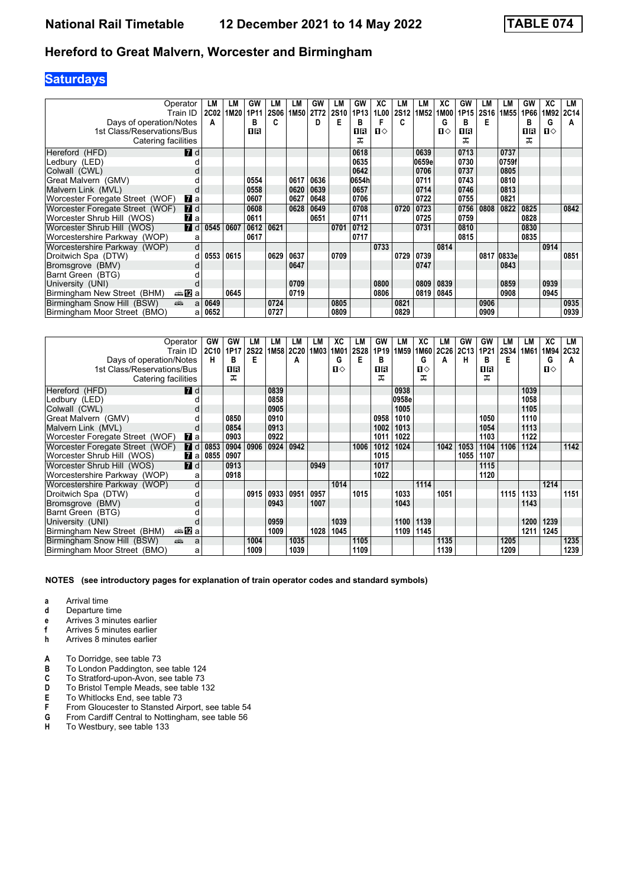## **Saturdays**

| Operator<br>Train ID                 | LM<br><b>2C02</b> | LM<br>1M20 | GW<br>1P11 | LM<br><b>2S06</b> | LМ<br>1M50 | GW<br>2T72 | LM<br><b>2S10</b> | GW<br>1P13 | ХC<br>1L00   | LM<br><b>2S12</b> | LМ<br>1M <sub>52</sub> | ХC<br>1M00 | GW<br>1P15 | LM<br><b>2S16</b> | LM<br>1M <sub>55</sub> | GW<br>1P66 | ХC<br>1M92 | LM<br><b>2C14</b> |
|--------------------------------------|-------------------|------------|------------|-------------------|------------|------------|-------------------|------------|--------------|-------------------|------------------------|------------|------------|-------------------|------------------------|------------|------------|-------------------|
| Days of operation/Notes              | A                 |            | в          | c                 |            | D          | Е                 | в          |              | c                 |                        | G          | в          | Е                 |                        | в          | G          | A                 |
| 1st Class/Reservations/Bus           |                   |            | OR         |                   |            |            |                   | 0R         | $\mathbf{n}$ |                   |                        | п⇔         | 1R         |                   |                        | 16         | $\Pi$      |                   |
| Catering facilities                  |                   |            |            |                   |            |            |                   | ᅚ          |              |                   |                        |            | ᅚ          |                   |                        | ᅚ          |            |                   |
| Hereford (HFD)                       | <b>7</b> d        |            |            |                   |            |            |                   | 0618       |              |                   | 0639                   |            | 0713       |                   | 0737                   |            |            |                   |
| Ledbury (LED)                        |                   |            |            |                   |            |            |                   | 0635       |              |                   | 0659e                  |            | 0730       |                   | 0759f                  |            |            |                   |
| Colwall (CWL)                        |                   |            |            |                   |            |            |                   | 0642       |              |                   | 0706                   |            | 0737       |                   | 0805                   |            |            |                   |
| Great Malvern (GMV)                  |                   |            | 0554       |                   | 0617       | 0636       |                   | 0654h      |              |                   | 0711                   |            | 0743       |                   | 0810                   |            |            |                   |
| Malvern Link (MVL)                   |                   |            | 0558       |                   | 0620       | 0639       |                   | 0657       |              |                   | 0714                   |            | 0746       |                   | 0813                   |            |            |                   |
| Worcester Foregate Street (WOF)      | $\mathbf{z}$ a    |            | 0607       |                   | 0627       | 0648       |                   | 0706       |              |                   | 0722                   |            | 0755       |                   | 0821                   |            |            |                   |
| Worcester Foregate Street (WOF)      | <b>7</b> d        |            | 0608       |                   | 0628       | 0649       |                   | 0708       |              | 0720              | 0723                   |            | 0756       | 0808              | 0822                   | 0825       |            | 0842              |
| Worcester Shrub Hill (WOS)           | $\mathbf{z}$ a    |            | 0611       |                   |            | 0651       |                   | 0711       |              |                   | 0725                   |            | 0759       |                   |                        | 0828       |            |                   |
| 7d<br>Worcester Shrub Hill (WOS)     | 0545              | 0607       | 0612       | 0621              |            |            | 0701              | 0712       |              |                   | 0731                   |            | 0810       |                   |                        | 0830       |            |                   |
| Worcestershire Parkway (WOP)         | a                 |            | 0617       |                   |            |            |                   | 0717       |              |                   |                        |            | 0815       |                   |                        | 0835       |            |                   |
| Worcestershire Parkway (WOP)         | d                 |            |            |                   |            |            |                   |            | 0733         |                   |                        | 0814       |            |                   |                        |            | 0914       |                   |
| Droitwich Spa (DTW)                  | 0553<br>d         | 0615       |            | 0629              | 0637       |            | 0709              |            |              | 0729              | 0739                   |            |            |                   | 0817 0833el            |            |            | 0851              |
| Bromsgrove (BMV)                     |                   |            |            |                   | 0647       |            |                   |            |              |                   | 0747                   |            |            |                   | 0843                   |            |            |                   |
| Barnt Green (BTG)                    |                   |            |            |                   |            |            |                   |            |              |                   |                        |            |            |                   |                        |            |            |                   |
| University (UNI)                     |                   |            |            |                   | 0709       |            |                   |            | 0800         |                   | 0809                   | 0839       |            |                   | 0859                   |            | 0939       |                   |
| Birmingham New Street (BHM)<br>⇔anZa |                   | 0645       |            |                   | 0719       |            |                   |            | 0806         |                   | 0819                   | 0845       |            |                   | 0908                   |            | 0945       |                   |
| dia 1<br>Birmingham Snow Hill (BSW)  | 0649<br>a         |            |            | 0724              |            |            | 0805              |            |              | 0821              |                        |            |            | 0906              |                        |            |            | 0935              |
| Birmingham Moor Street (BMO)         | 0652<br>a         |            |            | 0727              |            |            | 0809              |            |              | 0829              |                        |            |            | 0909              |                        |            |            | 0939              |

| Operator<br>Train ID                                                                                                                                                                                                                                              | GW<br>2C10 | GW<br>1P17 | LМ<br><b>2S22</b> | LM<br>1M <sub>58</sub> | LM<br>2C20 | LM<br>1M03 | XC<br>1M01   | LM<br><b>2S28</b> | GW<br>1P19 | LМ<br>1M <sub>59</sub> | ХC<br>1M60 | LМ<br>2C26 | GW<br>2C13 | GW<br>1P21 | LМ<br><b>2S34</b> | LМ<br>1M61 | ХC           | LМ<br>1M94 2C32 |
|-------------------------------------------------------------------------------------------------------------------------------------------------------------------------------------------------------------------------------------------------------------------|------------|------------|-------------------|------------------------|------------|------------|--------------|-------------------|------------|------------------------|------------|------------|------------|------------|-------------------|------------|--------------|-----------------|
| Days of operation/Notes                                                                                                                                                                                                                                           | н          | в          | Е                 |                        | A          |            | G            | Е                 | в          |                        | G          | A          | н          | в          | Е                 |            | G            | A               |
| 1st Class/Reservations/Bus                                                                                                                                                                                                                                        |            | 1R         |                   |                        |            |            | $\mathbf{u}$ |                   | 1R         |                        | п⇔         |            |            | OR         |                   |            | $\mathbf{u}$ |                 |
| Catering facilities                                                                                                                                                                                                                                               |            | ᠼ          |                   |                        |            |            |              |                   | ᅚ          |                        | ᠼ          |            |            | ᅚ          |                   |            |              |                 |
| <b>7</b> d<br>Hereford (HFD)                                                                                                                                                                                                                                      |            |            |                   | 0839                   |            |            |              |                   |            | 0938                   |            |            |            |            |                   | 1039       |              |                 |
| Ledbury (LED)                                                                                                                                                                                                                                                     |            |            |                   | 0858                   |            |            |              |                   |            | 0958e                  |            |            |            |            |                   | 1058       |              |                 |
| Colwall (CWL)                                                                                                                                                                                                                                                     |            |            |                   | 0905                   |            |            |              |                   |            | 1005                   |            |            |            |            |                   | 1105       |              |                 |
| Great Malvern (GMV)                                                                                                                                                                                                                                               |            | 0850       |                   | 0910                   |            |            |              |                   | 0958       | 1010                   |            |            |            | 1050       |                   | 1110       |              |                 |
| Malvern Link (MVL)                                                                                                                                                                                                                                                |            | 0854       |                   | 0913                   |            |            |              |                   | 1002       | 1013                   |            |            |            | 1054       |                   | 1113       |              |                 |
| Worcester Foregate Street (WOF)<br>$\mathbf{z}$ a                                                                                                                                                                                                                 |            | 0903       |                   | 0922                   |            |            |              |                   | 1011       | 1022                   |            |            |            | 1103       |                   | 1122       |              |                 |
| Worcester Foregate Street (WOF)<br><b>7</b> d                                                                                                                                                                                                                     | 0853       | 0904       | 0906              | 0924                   | 0942       |            |              | 1006              | 1012       | 1024                   |            | 1042       | 1053       | 1104       | 1106              | 1124       |              | 1142            |
| Worcester Shrub Hill (WOS)                                                                                                                                                                                                                                        | $2a$ 0855  | 0907       |                   |                        |            |            |              |                   | 1015       |                        |            |            | 1055       | 1107       |                   |            |              |                 |
| $\blacksquare$ d<br>Worcester Shrub Hill (WOS)                                                                                                                                                                                                                    |            | 0913       |                   |                        |            | 0949       |              |                   | 1017       |                        |            |            |            | 1115       |                   |            |              |                 |
| Worcestershire Parkway (WOP)<br>a                                                                                                                                                                                                                                 |            | 0918       |                   |                        |            |            |              |                   | 1022       |                        |            |            |            | 1120       |                   |            |              |                 |
| d<br>Worcestershire Parkway (WOP)                                                                                                                                                                                                                                 |            |            |                   |                        |            |            | 1014         |                   |            |                        | 1114       |            |            |            |                   |            | 1214         |                 |
| Droitwich Spa (DTW)<br>а                                                                                                                                                                                                                                          |            |            | 0915              | 0933                   | 0951       | 0957       |              | 1015              |            | 1033                   |            | 1051       |            |            | 1115              | 1133       |              | 1151            |
| Bromsgrove (BMV)<br>d                                                                                                                                                                                                                                             |            |            |                   | 0943                   |            | 1007       |              |                   |            | 1043                   |            |            |            |            |                   | 1143       |              |                 |
| Barnt Green (BTG)                                                                                                                                                                                                                                                 |            |            |                   |                        |            |            |              |                   |            |                        |            |            |            |            |                   |            |              |                 |
| University (UNI)                                                                                                                                                                                                                                                  |            |            |                   | 0959                   |            |            | 1039         |                   |            | 1100                   | 1139       |            |            |            |                   | 1200       | 1239         |                 |
| nna nDia<br>Birmingham New Street (BHM)                                                                                                                                                                                                                           |            |            |                   | 1009                   |            | 1028       | 1045         |                   |            | 1109                   | 1145       |            |            |            |                   | 1211       | 1245         |                 |
| Birmingham Snow Hill (BSW)<br>and the second second second second second second second second second second second second second second second second second second second second second second second second second second second second second second seco<br>a |            |            | 1004              |                        | 1035       |            |              | 1105              |            |                        |            | 1135       |            |            | 1205              |            |              | 1235            |
| Birmingham Moor Street (BMO)<br>a                                                                                                                                                                                                                                 |            |            | 1009              |                        | 1039       |            |              | 1109              |            |                        |            | 1139       |            |            | 1209              |            |              | 1239            |

- **a** Arrival time
- **d** Departure time
- **e** Arrives 3 minutes earlier<br>**f** Arrives 5 minutes earlier
- **f** Arrives 5 minutes earlier<br> **h** Arrives 8 minutes earlier
- **Arrives 8 minutes earlier**
- **A** To Dorridge, see table 73<br>**B** To London Paddington, se
- To London Paddington, see table 124
- **C** To Stratford-upon-Avon, see table 73<br>**D** To Bristol Temple Meads, see table 1
- **D** To Bristol Temple Meads, see table 132<br>**E** To Whitlocks End, see table 73
- **E** To Whitlocks End, see table 73<br>**F** From Gloucester to Stansted Ai
- **F** From Gloucester to Stansted Airport, see table 54<br>**G** From Cardiff Central to Nottingham, see table 56<br>**H** To Westbury, see table 133
- From Cardiff Central to Nottingham, see table 56
- To Westbury, see table 133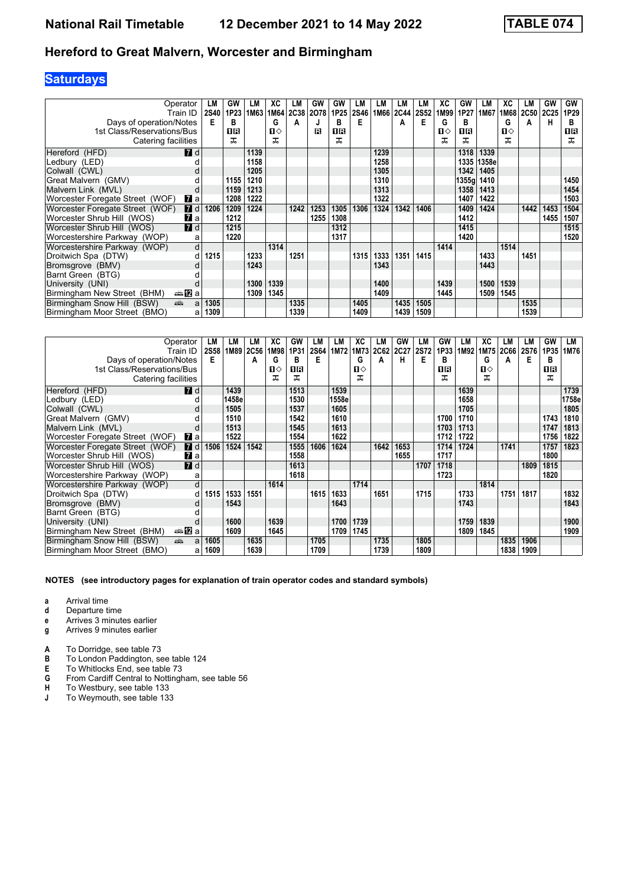## **Saturdays**

| Operator<br>Train ID<br>Days of operation/Notes<br>1st Class/Reservations/Bus<br>Catering facilities | LM<br><b>2S40</b><br>Е | GW<br>1P23<br>в<br>1R<br>ᠼ | LМ<br>1M63 | XC<br>1M64<br>G<br>п⇔<br>ᅚ | LМ<br>A | GW<br>2C38 2O78<br>R | <b>GW</b><br>1P25<br>в<br>ПR<br>ᅚ | LM<br><b>2S46</b><br>Е | LM<br>1M66 | LМ<br><b>2C44</b><br>A | LM<br><b>2S52</b><br>Е | ХC<br>1M99<br>G<br>$\mathbf{n}$ | GW<br>1P27<br>B<br>1R<br>ㅈ | LM<br>1M67 | XC<br>1M68<br>G<br>П⇔<br>ᠼ | LM<br>2C50<br>A | GW<br>2C <sub>25</sub><br>н | GW<br>1P29<br>в<br>1R<br>ᅚ |
|------------------------------------------------------------------------------------------------------|------------------------|----------------------------|------------|----------------------------|---------|----------------------|-----------------------------------|------------------------|------------|------------------------|------------------------|---------------------------------|----------------------------|------------|----------------------------|-----------------|-----------------------------|----------------------------|
| <b>7</b> d<br>Hereford (HFD)                                                                         |                        |                            | 1139       |                            |         |                      |                                   |                        | 1239       |                        |                        |                                 | 1318                       | 1339       |                            |                 |                             |                            |
| Ledbury (LED)                                                                                        |                        |                            | 1158       |                            |         |                      |                                   |                        | 1258       |                        |                        |                                 | 1335                       | 1358e      |                            |                 |                             |                            |
| Colwall (CWL)                                                                                        |                        |                            | 1205       |                            |         |                      |                                   |                        | 1305       |                        |                        |                                 | 1342                       | 1405       |                            |                 |                             |                            |
| Great Malvern (GMV)                                                                                  |                        | 1155                       | 1210       |                            |         |                      |                                   |                        | 1310       |                        |                        |                                 | 1355q                      | 1410       |                            |                 |                             | 1450                       |
| Malvern Link (MVL)                                                                                   |                        | 1159                       | 1213       |                            |         |                      |                                   |                        | 1313       |                        |                        |                                 | 1358                       | 1413       |                            |                 |                             | 1454                       |
| Worcester Foregate Street (WOF)<br>$\mathbf{z}$ a                                                    |                        | 1208                       | 1222       |                            |         |                      |                                   |                        | 1322       |                        |                        |                                 | 1407                       | 1422       |                            |                 |                             | 1503                       |
| Worcester Foregate Street (WOF)<br><b>7</b> d                                                        | 1206                   | 1209                       | 1224       |                            | 1242    | 1253                 | 1305                              | 1306                   | 1324       | 1342                   | 1406                   |                                 | 1409                       | 1424       |                            | 1442            | 1453                        | 1504                       |
| Worcester Shrub Hill (WOS)<br>$\mathbf{z}$ a                                                         |                        | 1212                       |            |                            |         | 1255                 | 1308                              |                        |            |                        |                        |                                 | 1412                       |            |                            |                 | 1455                        | 1507                       |
| $\blacksquare$ d<br>Worcester Shrub Hill (WOS)                                                       |                        | 1215                       |            |                            |         |                      | 1312                              |                        |            |                        |                        |                                 | 1415                       |            |                            |                 |                             | 1515                       |
| Worcestershire Parkway (WOP)                                                                         | a                      | 1220                       |            |                            |         |                      | 1317                              |                        |            |                        |                        |                                 | 1420                       |            |                            |                 |                             | 1520                       |
| Worcestershire Parkway (WOP)                                                                         | d                      |                            |            | 1314                       |         |                      |                                   |                        |            |                        |                        | 1414                            |                            |            | 1514                       |                 |                             |                            |
| Droitwich Spa (DTW)                                                                                  | 1215<br>d              |                            | 1233       |                            | 1251    |                      |                                   | 1315                   | 1333       | 1351                   | 1415                   |                                 |                            | 1433       |                            | 1451            |                             |                            |
| Bromsgrove (BMV)                                                                                     |                        |                            | 1243       |                            |         |                      |                                   |                        | 1343       |                        |                        |                                 |                            | 1443       |                            |                 |                             |                            |
| Barnt Green (BTG)                                                                                    |                        |                            |            |                            |         |                      |                                   |                        |            |                        |                        |                                 |                            |            |                            |                 |                             |                            |
| University (UNI)                                                                                     |                        |                            | 1300       | 1339                       |         |                      |                                   |                        | 1400       |                        |                        | 1439                            |                            | 1500       | 1539                       |                 |                             |                            |
| ⇔anZa<br>Birmingham New Street (BHM)                                                                 |                        |                            | 1309       | 1345                       |         |                      |                                   |                        | 1409       |                        |                        | 1445                            |                            | 1509       | 1545                       |                 |                             |                            |
| dia 1<br>Birmingham Snow Hill (BSW)                                                                  | 1305<br>a              |                            |            |                            | 1335    |                      |                                   | 1405                   |            | 1435                   | 1505                   |                                 |                            |            |                            | 1535            |                             |                            |
| Birmingham Moor Street (BMO)                                                                         | 1309<br>a              |                            |            |                            | 1339    |                      |                                   | 1409                   |            | 1439                   | 1509                   |                                 |                            |            |                            | 1539            |                             |                            |

| Operator<br>Train ID                                                                                                                                                                                                                                         | LM<br><b>2S58</b> | LM<br>1M89 | LМ<br>2C56 | ХC<br>1M98 | GW<br>1P31 | LM<br><b>2S64</b> | LM<br>1M72 | ХC<br>1M73 | LM<br><b>2C62</b> | GW<br><b>2C27</b> | LМ<br><b>2S72</b> | GW<br>1P33 | LМ<br>1M92 | XC<br>1M75 | LM<br>2C66 | LМ<br><b>2S76</b> | GW<br>1P35 | LМ<br>1M76 |
|--------------------------------------------------------------------------------------------------------------------------------------------------------------------------------------------------------------------------------------------------------------|-------------------|------------|------------|------------|------------|-------------------|------------|------------|-------------------|-------------------|-------------------|------------|------------|------------|------------|-------------------|------------|------------|
| Days of operation/Notes                                                                                                                                                                                                                                      | Е                 |            | A          | G          | в          | E                 |            | G          | A                 | н                 | Е                 | B          |            | G          | A          | Е                 | в          |            |
| 1st Class/Reservations/Bus                                                                                                                                                                                                                                   |                   |            |            | п⇔         | 0 B        |                   |            | п⇔         |                   |                   |                   | 16         |            | п⇔         |            |                   | 18         |            |
| Catering facilities                                                                                                                                                                                                                                          |                   |            |            | ᠼ          | ㅈ          |                   |            | ᠼ          |                   |                   |                   | ᠼ          |            | ᅚ          |            |                   | ᅚ          |            |
| <b>7</b> d<br>Hereford (HFD)                                                                                                                                                                                                                                 |                   | 1439       |            |            | 1513       |                   | 1539       |            |                   |                   |                   |            | 1639       |            |            |                   |            | 1739       |
| Ledbury (LED)                                                                                                                                                                                                                                                |                   | 1458e      |            |            | 1530       |                   | 1558e      |            |                   |                   |                   |            | 1658       |            |            |                   |            | 1758e      |
| Colwall (CWL)                                                                                                                                                                                                                                                |                   | 1505       |            |            | 1537       |                   | 1605       |            |                   |                   |                   |            | 1705       |            |            |                   |            | 1805       |
| Great Malvern (GMV)                                                                                                                                                                                                                                          |                   | 1510       |            |            | 1542       |                   | 1610       |            |                   |                   |                   | 1700       | 1710       |            |            |                   | 1743       | 1810       |
| Malvern Link (MVL)                                                                                                                                                                                                                                           |                   | 1513       |            |            | 1545       |                   | 1613       |            |                   |                   |                   | 1703       | 1713       |            |            |                   | 1747       | 1813       |
| Worcester Foregate Street (WOF)<br>$\mathbf{z}$ a                                                                                                                                                                                                            |                   | 1522       |            |            | 1554       |                   | 1622       |            |                   |                   |                   | 1712       | 1722       |            |            |                   | 1756       | 1822       |
| 7d<br>Worcester Foregate Street (WOF)                                                                                                                                                                                                                        | 1506              | 1524       | 1542       |            | 1555       | 1606              | 1624       |            | 1642              | 1653              |                   | 1714       | 1724       |            | 1741       |                   | 1757       | 1823       |
| $\mathbf{z}$ a<br>Worcester Shrub Hill (WOS)                                                                                                                                                                                                                 |                   |            |            |            | 1558       |                   |            |            |                   | 1655              |                   | 1717       |            |            |            |                   | 1800       |            |
| $\blacksquare$ d<br>Worcester Shrub Hill (WOS)                                                                                                                                                                                                               |                   |            |            |            | 1613       |                   |            |            |                   |                   | 1707              | 1718       |            |            |            | 1809              | 1815       |            |
| Worcestershire Parkway (WOP)                                                                                                                                                                                                                                 | a                 |            |            |            | 1618       |                   |            |            |                   |                   |                   | 1723       |            |            |            |                   | 1820       |            |
| Worcestershire Parkway (WOP)                                                                                                                                                                                                                                 | d                 |            |            | 1614       |            |                   |            | 1714       |                   |                   |                   |            |            | 1814       |            |                   |            |            |
| Droitwich Spa (DTW)                                                                                                                                                                                                                                          | 1515<br>d         | 1533       | 1551       |            |            | 1615              | 1633       |            | 1651              |                   | 1715              |            | 1733       |            | 1751       | 1817              |            | 1832       |
| Bromsgrove (BMV)                                                                                                                                                                                                                                             |                   | 1543       |            |            |            |                   | 1643       |            |                   |                   |                   |            | 1743       |            |            |                   |            | 1843       |
| Barnt Green (BTG)                                                                                                                                                                                                                                            |                   |            |            |            |            |                   |            |            |                   |                   |                   |            |            |            |            |                   |            |            |
| University (UNI)                                                                                                                                                                                                                                             |                   | 1600       |            | 1639       |            |                   | 1700       | 1739       |                   |                   |                   |            | 1759       | 1839       |            |                   |            | 1900       |
| ⊯anZa<br>Birmingham New Street (BHM)                                                                                                                                                                                                                         |                   | 1609       |            | 1645       |            |                   | 1709       | 1745       |                   |                   |                   |            | 1809       | 1845       |            |                   |            | 1909       |
| Birmingham Snow Hill (BSW)<br>and the second second second second second second second second second second second second second second second second second second second second second second second second second second second second second second seco | 1605<br>a         |            | 1635       |            |            | 1705              |            |            | 1735              |                   | 1805              |            |            |            | 1835       | 1906              |            |            |
| Birmingham Moor Street (BMO)                                                                                                                                                                                                                                 | 1609<br>a         |            | 1639       |            |            | 1709              |            |            | 1739              |                   | 1809              |            |            |            | 1838       | 1909              |            |            |

- **a** Arrival time
- **d** Departure time
- **e** Arrives 3 minutes earlier
- **g** Arrives 9 minutes earlier
- **A** To Dorridge, see table 73<br>**B** To London Paddington, se
- **B** To London Paddington, see table 124
- **E** To Whitlocks End, see table 73
- **6** From Cardiff Central to Nottingham, see table 56<br>**H** To Westbury, see table 133
- **+** To Westbury, see table 133<br>**J** To Weymouth, see table 133
- To Weymouth, see table 133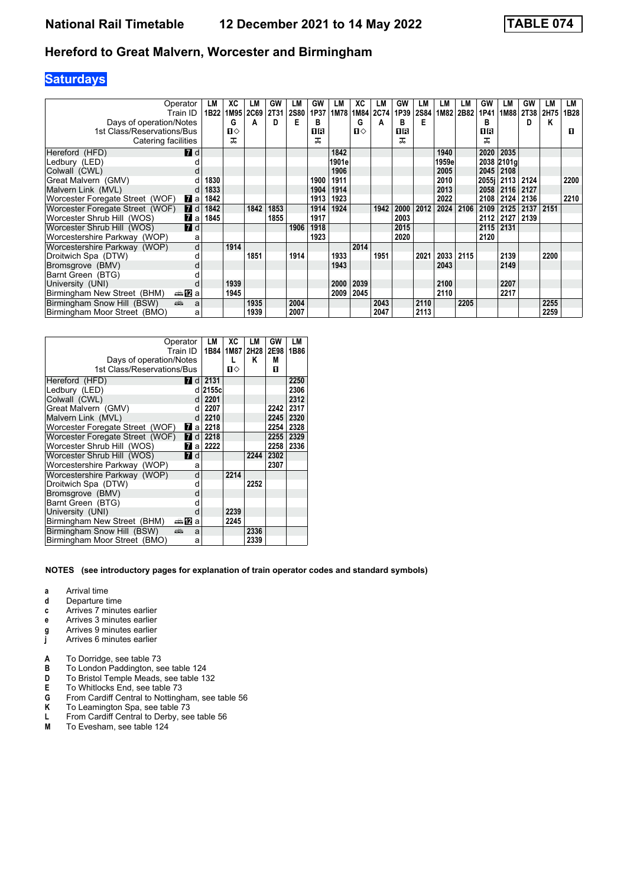## **Saturdays**

| Operator<br>Train ID                          | LМ<br>1B22 | ХC<br>1M95 | LM<br>2C69 | GW<br>2T31 | LM<br><b>2S80</b> | GW<br>1P37 | LM<br>1M78 | ХC<br>1M84 | LМ<br>2C74 | GW<br>1P39 | LM<br><b>2S84</b> | LM<br>1M82 | LM<br>2B82 | GW<br>1P41 | LМ<br>1M88 | GW<br><b>2T38</b> | LМ<br>2H75 | LМ<br>1B28 |
|-----------------------------------------------|------------|------------|------------|------------|-------------------|------------|------------|------------|------------|------------|-------------------|------------|------------|------------|------------|-------------------|------------|------------|
| Days of operation/Notes                       |            | G          | A          | D          | Е                 | в          |            | G          | A          | в          | Е                 |            |            | R          |            | D                 | Κ          |            |
| 1st Class/Reservations/Bus                    |            | п⇔         |            |            |                   | 1R         |            | п⇔         |            | ПR         |                   |            |            | OR         |            |                   |            | п          |
| Catering facilities                           |            | ᠼ          |            |            |                   | ᠼ          |            |            |            | ᅚ          |                   |            |            | ㅈ          |            |                   |            |            |
| <b>7</b> d<br>Hereford (HFD)                  |            |            |            |            |                   |            | 1842       |            |            |            |                   | 1940       |            | 2020       | 2035       |                   |            |            |
| Ledbury (LED)                                 |            |            |            |            |                   |            | 1901e      |            |            |            |                   | 1959e      |            |            | 2038 2101a |                   |            |            |
| Colwall (CWL)                                 |            |            |            |            |                   |            | 1906       |            |            |            |                   | 2005       |            | 2045       | 2108       |                   |            |            |
| Great Malvern (GMV)                           | 1830       |            |            |            |                   | 1900       | 1911       |            |            |            |                   | 2010       |            | 2055i      | 2113       | 2124              |            | 2200       |
| Malvern Link (MVL)                            | 1833       |            |            |            |                   | 1904       | 1914       |            |            |            |                   | 2013       |            | 2058       | 2116       | 2127              |            |            |
| Worcester Foregate Street (WOF)<br><b>7</b> a | 1842       |            |            |            |                   | 1913       | 1923       |            |            |            |                   | 2022       |            | 2108       | 2124       | 2136              |            | 2210       |
| Worcester Foregate Street (WOF)<br><b>7</b> d | 1842       |            | 1842       | 1853       |                   | 1914       | 1924       |            | 1942       | 2000       | 2012              | 2024       | 2106       | 2109       | 2125       | 2137              | 2151       |            |
| Worcester Shrub Hill (WOS)<br>77 a            | 1845       |            |            | 1855       |                   | 1917       |            |            |            | 2003       |                   |            |            | 2112       | 2127       | 2139              |            |            |
| 7d<br>Worcester Shrub Hill (WOS)              |            |            |            |            | 1906              | 1918       |            |            |            | 2015       |                   |            |            | 2115       | 2131       |                   |            |            |
| Worcestershire Parkway (WOP)<br>a             |            |            |            |            |                   | 1923       |            |            |            | 2020       |                   |            |            | 2120       |            |                   |            |            |
| d<br>Worcestershire Parkway (WOP)             |            | 1914       |            |            |                   |            |            | 2014       |            |            |                   |            |            |            |            |                   |            |            |
| Droitwich Spa (DTW)                           |            |            | 1851       |            | 1914              |            | 1933       |            | 1951       |            | 2021              | 2033       | 2115       |            | 2139       |                   | 2200       |            |
| Bromsgrove (BMV)                              |            |            |            |            |                   |            | 1943       |            |            |            |                   | 2043       |            |            | 2149       |                   |            |            |
| Barnt Green (BTG)                             |            |            |            |            |                   |            |            |            |            |            |                   |            |            |            |            |                   |            |            |
| University (UNI)                              |            | 1939       |            |            |                   |            | 2000       | 2039       |            |            |                   | 2100       |            |            | 2207       |                   |            |            |
| ⊯anZa<br>Birmingham New Street (BHM)          |            | 1945       |            |            |                   |            | 2009       | 2045       |            |            |                   | 2110       |            |            | 2217       |                   |            |            |
| Birmingham Snow Hill (BSW)<br>پېښ<br>a        |            |            | 1935       |            | 2004              |            |            |            | 2043       |            | 2110              |            | 2205       |            |            |                   | 2255       |            |
| Birmingham Moor Street (BMO)<br>a             |            |            | 1939       |            | 2007              |            |            |            | 2047       |            | 2113              |            |            |            |            |                   | 2259       |            |

|                                                       | Operator<br>Train ID | LM<br>1B84 | ХC<br>1M87 | LM<br>2H28 | GW<br>2E98 | LM<br>1B86 |
|-------------------------------------------------------|----------------------|------------|------------|------------|------------|------------|
|                                                       |                      |            | L          | Κ          | М          |            |
| Days of operation/Notes<br>1st Class/Reservations/Bus |                      |            | п⇔         |            | п          |            |
|                                                       |                      |            |            |            |            |            |
| Hereford (HFD)                                        | <b>7</b> d           | 2131       |            |            |            | 2250       |
| Ledbury (LED)                                         |                      | d 2155c    |            |            |            | 2306       |
| Colwall (CWL)                                         | d                    | 2201       |            |            |            | 2312       |
| Great Malvern (GMV)                                   | d                    | 2207       |            |            | 2242       | 2317       |
| Malvern Link (MVL)                                    | d                    | 2210       |            |            | 2245       | 2320       |
| Worcester Foregate Street (WOF)                       | 7<br>a               | 2218       |            |            | 2254       | 2328       |
| Worcester Foregate Street (WOF)                       | 7<br>d               | 2218       |            |            | 2255       | 2329       |
| Worcester Shrub Hill (WOS)                            | 7<br>a               | 2222       |            |            | 2258       | 2336       |
| Worcester Shrub Hill (WOS)                            | <b>7</b> d           |            |            | 2244       | 2302       |            |
| Worcestershire Parkway (WOP)                          | a                    |            |            |            | 2307       |            |
| Worcestershire Parkway (WOP)                          | d                    |            | 2214       |            |            |            |
| Droitwich Spa (DTW)                                   | d                    |            |            | 2252       |            |            |
| Bromsgrove (BMV)                                      | d                    |            |            |            |            |            |
| Barnt Green (BTG)                                     | d                    |            |            |            |            |            |
| University (UNI)                                      | d                    |            | 2239       |            |            |            |
| Birmingham New Street (BHM)                           | $\oplus$ 12<br>a     |            | 2245       |            |            |            |
| Birmingham Snow Hill (BSW)                            | پېښتنه<br>a          |            |            | 2336       |            |            |
| Birmingham Moor Street (BMO)                          | a                    |            |            | 2339       |            |            |

- **a** Arrival time
- **d** Departure time
- **c** Arrives 7 minutes earlier
- **e** Arrives 3 minutes earlier
- **g** Arrives 9 minutes earlier
- **j** Arrives 6 minutes earlier
- **A** To Dorridge, see table 73<br>**B** To London Paddington, se
- **B** To London Paddington, see table 124<br>**D** To Bristol Temple Meads, see table 13
- **D** To Bristol Temple Meads, see table 132<br>**E** To Whitlocks End, see table 73
- **E** To Whitlocks End, see table 73<br>**G** From Cardiff Central to Nottingh
- **6** From Cardiff Central to Nottingham, see table 56<br>**K** To Leamington Spa, see table 73
- To Leamington Spa, see table 73
- **L** From Cardiff Central to Derby, see table 56<br>**M** To Evesham, see table 124
- To Evesham, see table 124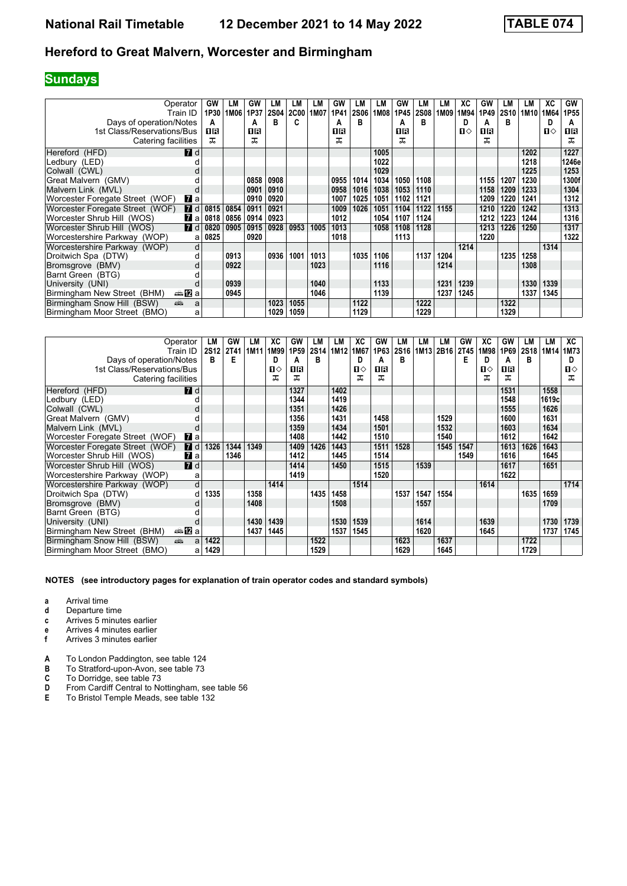# **Sundays**

| Operator<br>Train ID                              | GW<br>1P30 | LM<br>1M06 | GW<br>1P37 | LM<br><b>2S04</b> | LМ<br><b>2C00</b> | LM<br>1M07 | GW<br>1P41 | LM<br><b>2S06</b> | LM<br>1M08 | GW<br>1P45 | LM<br><b>2S08</b> | LM<br>1M09 | ХC<br>1M94   | GW<br>1P49 | LМ<br>2S10 | LM<br>1M <sub>10</sub> | XC<br>1M64   | <b>GW</b><br>1P55 |
|---------------------------------------------------|------------|------------|------------|-------------------|-------------------|------------|------------|-------------------|------------|------------|-------------------|------------|--------------|------------|------------|------------------------|--------------|-------------------|
| Days of operation/Notes                           | А          |            | А          | в                 | c                 |            | А          | в                 |            | А          | R                 |            | D            | A          | в          |                        | D            | A                 |
| 1st Class/Reservations/Bus                        | 16         |            | 0 R        |                   |                   |            | 18         |                   |            | OR         |                   |            | $\mathbf{n}$ | 1 R        |            |                        | $\mathbf{u}$ | 1 R               |
| Catering facilities                               | ᠼ          |            | ᅚ          |                   |                   |            | ᅚ          |                   |            | ᅚ          |                   |            |              | ᅚ          |            |                        |              | ᠼ                 |
| <b>7</b> d<br>Hereford (HFD)                      |            |            |            |                   |                   |            |            |                   | 1005       |            |                   |            |              |            |            | 1202                   |              | 1227              |
| Ledbury (LED)                                     |            |            |            |                   |                   |            |            |                   | 1022       |            |                   |            |              |            |            | 1218                   |              | 1246e             |
| Colwall (CWL)                                     |            |            |            |                   |                   |            |            |                   | 1029       |            |                   |            |              |            |            | 1225                   |              | 1253              |
| Great Malvern (GMV)                               |            |            | 0858       | 0908              |                   |            | 0955       | 1014              | 1034       | 1050       | 1108              |            |              | 1155       | 1207       | 1230                   |              | 1300f             |
| Malvern Link (MVL)<br>d                           |            |            | 0901       | 0910              |                   |            | 0958       | 1016              | 1038       | 1053       | 1110              |            |              | 1158       | 1209       | 1233                   |              | 1304              |
| Worcester Foregate Street (WOF)<br>$\mathbf{z}$ a |            |            | 0910       | 0920              |                   |            | 1007       | 1025              | 1051       | 1102       | 1121              |            |              | 1209       | 1220       | 1241                   |              | 1312              |
| Worcester Foregate Street (WOF)<br><b>7</b> d     | 0815       | 0854       | 0911       | 0921              |                   |            | 1009       | 1026              | 1051       | 1104       | 1122              | 1155       |              | 1210       | 1220       | 1242                   |              | 1313              |
| Worcester Shrub Hill (WOS)<br><b>7</b> a          | 0818       | 0856       | 0914       | 0923              |                   |            | 1012       |                   | 1054       | 1107       | 1124              |            |              | 1212       | 1223       | 1244                   |              | 1316              |
| $\blacksquare$ d<br>Worcester Shrub Hill (WOS)    | 0820       | 0905       | 0915       | 0928              | 0953              | 1005       | 1013       |                   | 1058       | 1108       | 1128              |            |              | 1213       | 1226       | 1250                   |              | 1317              |
| Worcestershire Parkway (WOP)<br>a                 | 0825       |            | 0920       |                   |                   |            | 1018       |                   |            | 1113       |                   |            |              | 1220       |            |                        |              | 1322              |
| Worcestershire Parkway (WOP)<br>d                 |            |            |            |                   |                   |            |            |                   |            |            |                   |            | 1214         |            |            |                        | 1314         |                   |
| Droitwich Spa (DTW)                               |            | 0913       |            | 0936              | 1001              | 1013       |            | 1035              | 1106       |            | 1137              | 1204       |              |            | 1235       | 1258                   |              |                   |
| Bromsgrove (BMV)<br>d                             |            | 0922       |            |                   |                   | 1023       |            |                   | 1116       |            |                   | 1214       |              |            |            | 1308                   |              |                   |
| Barnt Green (BTG)                                 |            |            |            |                   |                   |            |            |                   |            |            |                   |            |              |            |            |                        |              |                   |
| University (UNI)                                  |            | 0939       |            |                   |                   | 1040       |            |                   | 1133       |            |                   | 1231       | 1239         |            |            | 1330                   | 1339         |                   |
| Birmingham New Street (BHM)<br>—â 122 a           |            | 0945       |            |                   |                   | 1046       |            |                   | 1139       |            |                   | 1237       | 1245         |            |            | 1337                   | 1345         |                   |
| añ,<br>Birmingham Snow Hill (BSW)<br>a            |            |            |            | 1023              | 1055              |            |            | 1122              |            |            | 1222              |            |              |            | 1322       |                        |              |                   |
| Birmingham Moor Street (BMO)<br>a                 |            |            |            | 1029              | 1059              |            |            | 1129              |            |            | 1229              |            |              |            | 1329       |                        |              |                   |

| Operator                                                                                                                                                                                                                                                     |                | LM          | GW   | LМ   | ХC   | GW   | LМ               | LM   | XC   | <b>GW</b> | LМ   | LМ   | LM.       | GW          | XC   | GW   | LM        | LМ    | XC           |
|--------------------------------------------------------------------------------------------------------------------------------------------------------------------------------------------------------------------------------------------------------------|----------------|-------------|------|------|------|------|------------------|------|------|-----------|------|------|-----------|-------------|------|------|-----------|-------|--------------|
| Train ID                                                                                                                                                                                                                                                     |                | <b>2S12</b> | 2T41 | 1M11 | 1M99 | 1P59 | 2S <sub>14</sub> | 1M12 | 1M67 | 1P63      | 2S16 |      | 1M13 2B16 | <b>2T45</b> | 1M98 | 1P69 | 2S18 1M14 |       | 1M73         |
| Days of operation/Notes                                                                                                                                                                                                                                      |                | в           | Е    |      | D    | A    | в                |      |      | A         | R    |      |           | Е           | D    | А    | в         |       | D            |
| 1st Class/Reservations/Bus                                                                                                                                                                                                                                   |                |             |      |      | п⇔   | OR   |                  |      | П⇔   | 1R        |      |      |           |             | ்ப   | 16   |           |       | $\mathbf{u}$ |
| Catering facilities                                                                                                                                                                                                                                          |                |             |      |      | ᅚ    | ᅚ    |                  |      | ᅚ    | ᅚ         |      |      |           |             | ㅈ    | ᅚ    |           |       | ᅚ            |
| Hereford (HFD)                                                                                                                                                                                                                                               | <b>7</b> d     |             |      |      |      | 1327 |                  | 1402 |      |           |      |      |           |             |      | 1531 |           | 1558  |              |
| Ledbury (LED)                                                                                                                                                                                                                                                |                |             |      |      |      | 1344 |                  | 1419 |      |           |      |      |           |             |      | 1548 |           | 1619c |              |
| Colwall (CWL)                                                                                                                                                                                                                                                |                |             |      |      |      | 1351 |                  | 1426 |      |           |      |      |           |             |      | 1555 |           | 1626  |              |
| Great Malvern (GMV)                                                                                                                                                                                                                                          |                |             |      |      |      | 1356 |                  | 1431 |      | 1458      |      |      | 1529      |             |      | 1600 |           | 1631  |              |
| Malvern Link (MVL)                                                                                                                                                                                                                                           |                |             |      |      |      | 1359 |                  | 1434 |      | 1501      |      |      | 1532      |             |      | 1603 |           | 1634  |              |
| Worcester Foregate Street (WOF)                                                                                                                                                                                                                              | $\mathbf{z}$ a |             |      |      |      | 1408 |                  | 1442 |      | 1510      |      |      | 1540      |             |      | 1612 |           | 1642  |              |
| Worcester Foregate Street (WOF)                                                                                                                                                                                                                              | 7d             | 1326        | 1344 | 1349 |      | 1409 | 1426             | 1443 |      | 1511      | 1528 |      | 1545      | 1547        |      | 1613 | 1626      | 1643  |              |
| Worcester Shrub Hill (WOS)                                                                                                                                                                                                                                   | $\mathbf{z}$ a |             | 1346 |      |      | 1412 |                  | 1445 |      | 1514      |      |      |           | 1549        |      | 1616 |           | 1645  |              |
| Worcester Shrub Hill (WOS)                                                                                                                                                                                                                                   | 7d             |             |      |      |      | 1414 |                  | 1450 |      | 1515      |      | 1539 |           |             |      | 1617 |           | 1651  |              |
| Worcestershire Parkway (WOP)                                                                                                                                                                                                                                 | a              |             |      |      |      | 1419 |                  |      |      | 1520      |      |      |           |             |      | 1622 |           |       |              |
| Worcestershire Parkway (WOP)                                                                                                                                                                                                                                 | d              |             |      |      | 1414 |      |                  |      | 1514 |           |      |      |           |             | 1614 |      |           |       | 1714         |
| Droitwich Spa (DTW)                                                                                                                                                                                                                                          | d              | 1335        |      | 1358 |      |      | 1435             | 1458 |      |           | 1537 | 1547 | 1554      |             |      |      | 1635      | 1659  |              |
| Bromsgrove (BMV)                                                                                                                                                                                                                                             |                |             |      | 1408 |      |      |                  | 1508 |      |           |      | 1557 |           |             |      |      |           | 1709  |              |
| Barnt Green (BTG)                                                                                                                                                                                                                                            |                |             |      |      |      |      |                  |      |      |           |      |      |           |             |      |      |           |       |              |
| University (UNI)                                                                                                                                                                                                                                             |                |             |      | 1430 | 1439 |      |                  | 1530 | 1539 |           |      | 1614 |           |             | 1639 |      |           | 1730  | 1739         |
| ⇔an⊠a<br>Birmingham New Street (BHM)                                                                                                                                                                                                                         |                |             |      | 1437 | 1445 |      |                  | 1537 | 1545 |           |      | 1620 |           |             | 1645 |      |           | 1737  | 1745         |
| Birmingham Snow Hill (BSW)<br>and the second second second second second second second second second second second second second second second second second second second second second second second second second second second second second second seco | a              | 1422        |      |      |      |      | 1522             |      |      |           | 1623 |      | 1637      |             |      |      | 1722      |       |              |
| Birmingham Moor Street (BMO)                                                                                                                                                                                                                                 | a              | 1429        |      |      |      |      | 1529             |      |      |           | 1629 |      | 1645      |             |      |      | 1729      |       |              |

- **a** Arrival time
- **d** Departure time<br>**c** Arrives 5 minut
- **c** Arrives 5 minutes earlier
- **e** Arrives 4 minutes earlier<br>**f** Arrives 3 minutes earlier
- **f** Arrives 3 minutes earlier
- **A** To London Paddington, see table 124<br>**B** To Stratford-upon-Avon. see table 73
- **B** To Stratford-upon-Avon, see table 73<br>**C** To Dorridge, see table 73
- **C** To Dorridge, see table 73<br>**D** From Cardiff Central to No
- **D** From Cardiff Central to Nottingham, see table 56<br>**E** To Bristol Temple Meads, see table 132
- To Bristol Temple Meads, see table 132